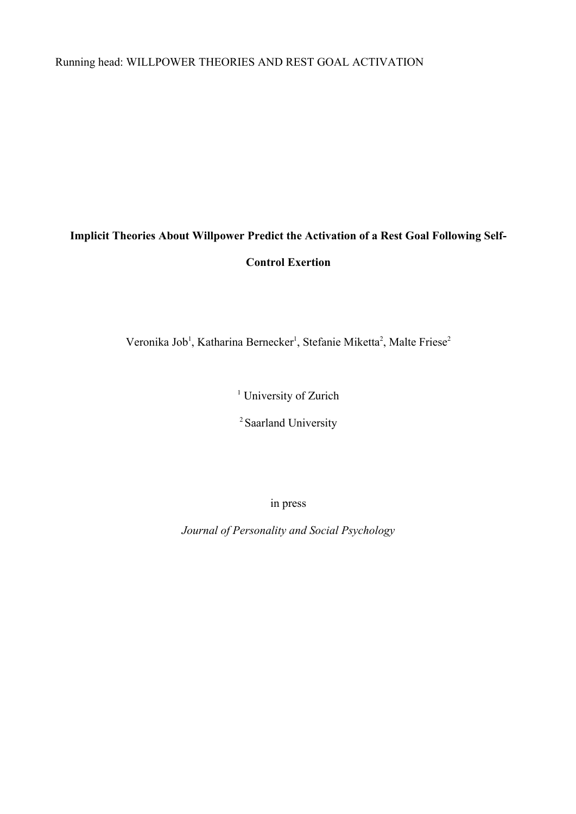Running head: WILLPOWER THEORIES AND REST GOAL ACTIVATION

# **Implicit Theories About Willpower Predict the Activation of a Rest Goal Following Self-Control Exertion**

Veronika Job<sup>1</sup>, Katharina Bernecker<sup>1</sup>, Stefanie Miketta<sup>2</sup>, Malte Friese<sup>2</sup>

<sup>1</sup> University of Zurich

<sup>2</sup> Saarland University

in press

*Journal of Personality and Social Psychology*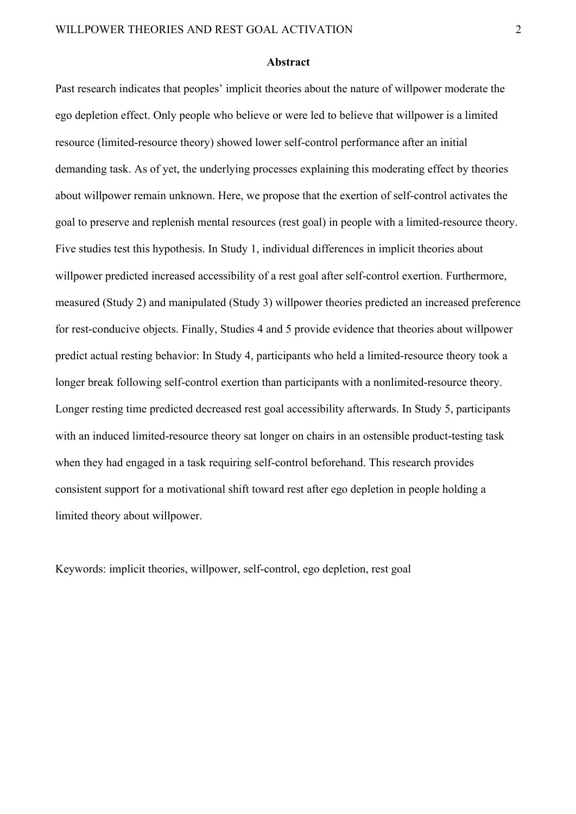#### **Abstract**

Past research indicates that peoples' implicit theories about the nature of willpower moderate the ego depletion effect. Only people who believe or were led to believe that willpower is a limited resource (limited-resource theory) showed lower self-control performance after an initial demanding task. As of yet, the underlying processes explaining this moderating effect by theories about willpower remain unknown. Here, we propose that the exertion of self-control activates the goal to preserve and replenish mental resources (rest goal) in people with a limited-resource theory. Five studies test this hypothesis. In Study 1, individual differences in implicit theories about willpower predicted increased accessibility of a rest goal after self-control exertion. Furthermore, measured (Study 2) and manipulated (Study 3) willpower theories predicted an increased preference for rest-conducive objects. Finally, Studies 4 and 5 provide evidence that theories about willpower predict actual resting behavior: In Study 4, participants who held a limited-resource theory took a longer break following self-control exertion than participants with a nonlimited-resource theory. Longer resting time predicted decreased rest goal accessibility afterwards. In Study 5, participants with an induced limited-resource theory sat longer on chairs in an ostensible product-testing task when they had engaged in a task requiring self-control beforehand. This research provides consistent support for a motivational shift toward rest after ego depletion in people holding a limited theory about willpower.

Keywords: implicit theories, willpower, self-control, ego depletion, rest goal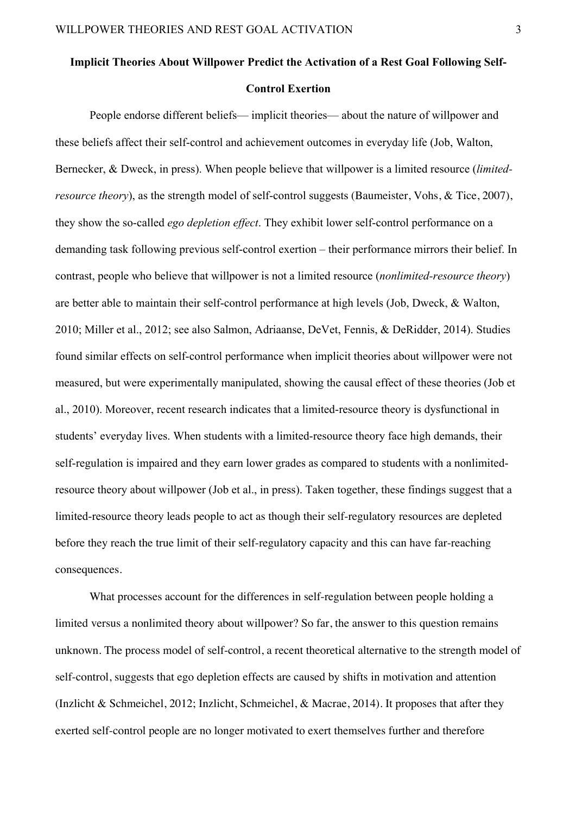# **Implicit Theories About Willpower Predict the Activation of a Rest Goal Following Self-**

# **Control Exertion**

People endorse different beliefs— implicit theories— about the nature of willpower and these beliefs affect their self-control and achievement outcomes in everyday life (Job, Walton, Bernecker, & Dweck, in press). When people believe that willpower is a limited resource (*limitedresource theory*), as the strength model of self-control suggests (Baumeister, Vohs, & Tice, 2007), they show the so-called *ego depletion effect*. They exhibit lower self-control performance on a demanding task following previous self-control exertion – their performance mirrors their belief. In contrast, people who believe that willpower is not a limited resource (*nonlimited-resource theory*) are better able to maintain their self-control performance at high levels (Job, Dweck, & Walton, 2010; Miller et al., 2012; see also Salmon, Adriaanse, DeVet, Fennis, & DeRidder, 2014). Studies found similar effects on self-control performance when implicit theories about willpower were not measured, but were experimentally manipulated, showing the causal effect of these theories (Job et al., 2010). Moreover, recent research indicates that a limited-resource theory is dysfunctional in students' everyday lives. When students with a limited-resource theory face high demands, their self-regulation is impaired and they earn lower grades as compared to students with a nonlimitedresource theory about willpower (Job et al., in press). Taken together, these findings suggest that a limited-resource theory leads people to act as though their self-regulatory resources are depleted before they reach the true limit of their self-regulatory capacity and this can have far-reaching consequences.

What processes account for the differences in self-regulation between people holding a limited versus a nonlimited theory about willpower? So far, the answer to this question remains unknown. The process model of self-control, a recent theoretical alternative to the strength model of self-control, suggests that ego depletion effects are caused by shifts in motivation and attention (Inzlicht & Schmeichel, 2012; Inzlicht, Schmeichel, & Macrae, 2014). It proposes that after they exerted self-control people are no longer motivated to exert themselves further and therefore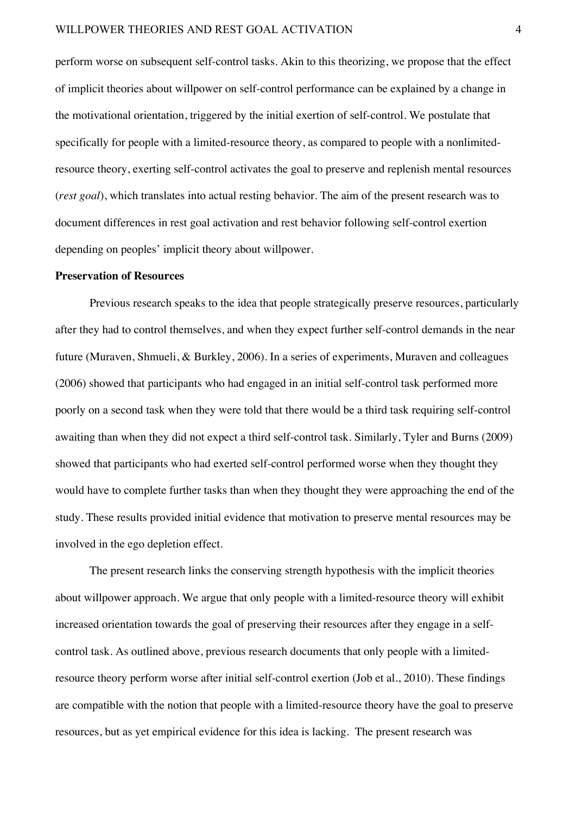perform worse on subsequent self-control tasks. Akin to this theorizing, we propose that the effect of implicit theories about willpower on self-control performance can be explained by a change in the motivational orientation, triggered by the initial exertion of self-control. We postulate that specifically for people with a limited-resource theory, as compared to people with a nonlimitedresource theory, exerting self-control activates the goal to preserve and replenish mental resources (*rest goal*), which translates into actual resting behavior. The aim of the present research was to document differences in rest goal activation and rest behavior following self-control exertion depending on peoples' implicit theory about willpower.

#### **Preservation of Resources**

Previous research speaks to the idea that people strategically preserve resources, particularly after they had to control themselves, and when they expect further self-control demands in the near future (Muraven, Shmueli, & Burkley, 2006). In a series of experiments, Muraven and colleagues (2006) showed that participants who had engaged in an initial self-control task performed more poorly on a second task when they were told that there would be a third task requiring self-control awaiting than when they did not expect a third self-control task. Similarly, Tyler and Burns (2009) showed that participants who had exerted self-control performed worse when they thought they would have to complete further tasks than when they thought they were approaching the end of the study. These results provided initial evidence that motivation to preserve mental resources may be involved in the ego depletion effect.

The present research links the conserving strength hypothesis with the implicit theories about willpower approach. We argue that only people with a limited-resource theory will exhibit increased orientation towards the goal of preserving their resources after they engage in a selfcontrol task. As outlined above, previous research documents that only people with a limitedresource theory perform worse after initial self-control exertion (Job et al., 2010). These findings are compatible with the notion that people with a limited-resource theory have the goal to preserve resources, but as yet empirical evidence for this idea is lacking. The present research was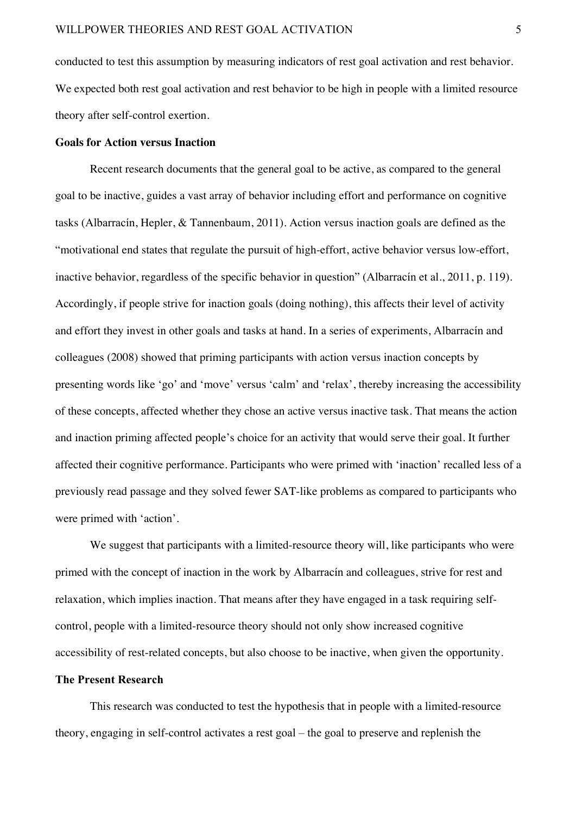conducted to test this assumption by measuring indicators of rest goal activation and rest behavior. We expected both rest goal activation and rest behavior to be high in people with a limited resource theory after self-control exertion.

#### **Goals for Action versus Inaction**

Recent research documents that the general goal to be active, as compared to the general goal to be inactive, guides a vast array of behavior including effort and performance on cognitive tasks (Albarracín, Hepler, & Tannenbaum, 2011). Action versus inaction goals are defined as the "motivational end states that regulate the pursuit of high-effort, active behavior versus low-effort, inactive behavior, regardless of the specific behavior in question" (Albarracín et al., 2011, p. 119). Accordingly, if people strive for inaction goals (doing nothing), this affects their level of activity and effort they invest in other goals and tasks at hand. In a series of experiments, Albarracín and colleagues (2008) showed that priming participants with action versus inaction concepts by presenting words like 'go' and 'move' versus 'calm' and 'relax', thereby increasing the accessibility of these concepts, affected whether they chose an active versus inactive task. That means the action and inaction priming affected people's choice for an activity that would serve their goal. It further affected their cognitive performance. Participants who were primed with 'inaction' recalled less of a previously read passage and they solved fewer SAT-like problems as compared to participants who were primed with 'action'.

We suggest that participants with a limited-resource theory will, like participants who were primed with the concept of inaction in the work by Albarracín and colleagues, strive for rest and relaxation, which implies inaction. That means after they have engaged in a task requiring selfcontrol, people with a limited-resource theory should not only show increased cognitive accessibility of rest-related concepts, but also choose to be inactive, when given the opportunity.

# **The Present Research**

This research was conducted to test the hypothesis that in people with a limited-resource theory, engaging in self-control activates a rest goal – the goal to preserve and replenish the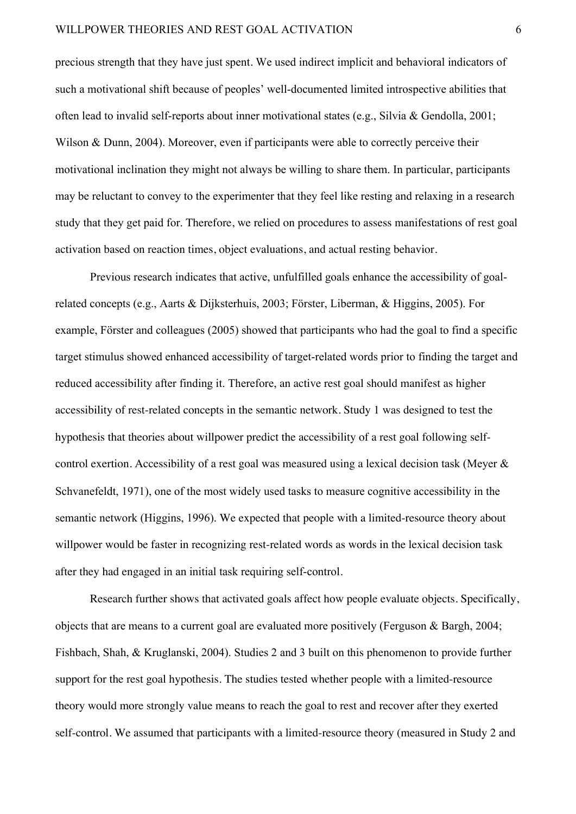precious strength that they have just spent. We used indirect implicit and behavioral indicators of such a motivational shift because of peoples' well-documented limited introspective abilities that often lead to invalid self-reports about inner motivational states (e.g., Silvia & Gendolla, 2001; Wilson & Dunn, 2004). Moreover, even if participants were able to correctly perceive their motivational inclination they might not always be willing to share them. In particular, participants may be reluctant to convey to the experimenter that they feel like resting and relaxing in a research study that they get paid for. Therefore, we relied on procedures to assess manifestations of rest goal activation based on reaction times, object evaluations, and actual resting behavior.

Previous research indicates that active, unfulfilled goals enhance the accessibility of goalrelated concepts (e.g., Aarts & Dijksterhuis, 2003; Förster, Liberman, & Higgins, 2005). For example, Förster and colleagues (2005) showed that participants who had the goal to find a specific target stimulus showed enhanced accessibility of target-related words prior to finding the target and reduced accessibility after finding it. Therefore, an active rest goal should manifest as higher accessibility of rest-related concepts in the semantic network. Study 1 was designed to test the hypothesis that theories about willpower predict the accessibility of a rest goal following selfcontrol exertion. Accessibility of a rest goal was measured using a lexical decision task (Meyer & Schvanefeldt, 1971), one of the most widely used tasks to measure cognitive accessibility in the semantic network (Higgins, 1996). We expected that people with a limited-resource theory about willpower would be faster in recognizing rest-related words as words in the lexical decision task after they had engaged in an initial task requiring self-control.

Research further shows that activated goals affect how people evaluate objects. Specifically, objects that are means to a current goal are evaluated more positively (Ferguson & Bargh, 2004; Fishbach, Shah, & Kruglanski, 2004). Studies 2 and 3 built on this phenomenon to provide further support for the rest goal hypothesis. The studies tested whether people with a limited-resource theory would more strongly value means to reach the goal to rest and recover after they exerted self-control. We assumed that participants with a limited-resource theory (measured in Study 2 and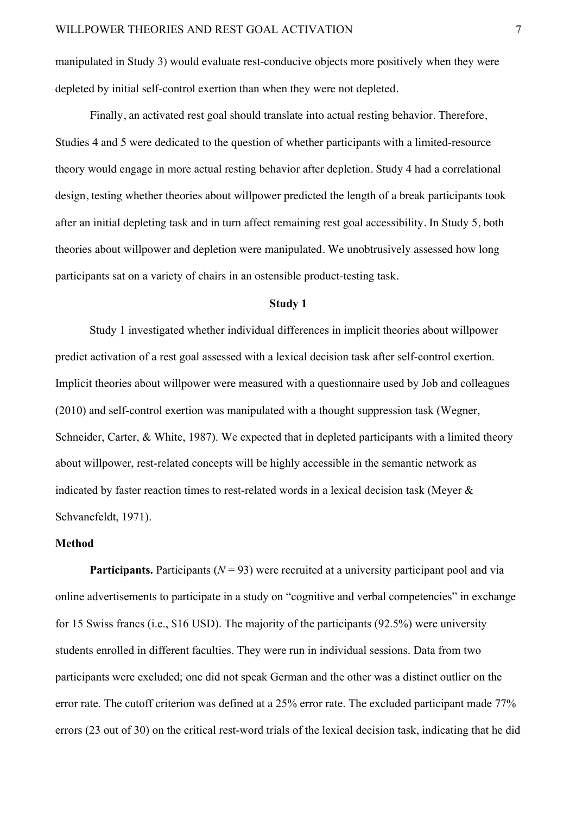manipulated in Study 3) would evaluate rest-conducive objects more positively when they were depleted by initial self-control exertion than when they were not depleted.

Finally, an activated rest goal should translate into actual resting behavior. Therefore, Studies 4 and 5 were dedicated to the question of whether participants with a limited-resource theory would engage in more actual resting behavior after depletion. Study 4 had a correlational design, testing whether theories about willpower predicted the length of a break participants took after an initial depleting task and in turn affect remaining rest goal accessibility. In Study 5, both theories about willpower and depletion were manipulated. We unobtrusively assessed how long participants sat on a variety of chairs in an ostensible product-testing task.

# **Study 1**

Study 1 investigated whether individual differences in implicit theories about willpower predict activation of a rest goal assessed with a lexical decision task after self-control exertion. Implicit theories about willpower were measured with a questionnaire used by Job and colleagues (2010) and self-control exertion was manipulated with a thought suppression task (Wegner, Schneider, Carter, & White, 1987). We expected that in depleted participants with a limited theory about willpower, rest-related concepts will be highly accessible in the semantic network as indicated by faster reaction times to rest-related words in a lexical decision task (Meyer & Schvanefeldt, 1971).

#### **Method**

**Participants.** Participants ( $N = 93$ ) were recruited at a university participant pool and via online advertisements to participate in a study on "cognitive and verbal competencies" in exchange for 15 Swiss francs (i.e., \$16 USD). The majority of the participants (92.5%) were university students enrolled in different faculties. They were run in individual sessions. Data from two participants were excluded; one did not speak German and the other was a distinct outlier on the error rate. The cutoff criterion was defined at a 25% error rate. The excluded participant made 77% errors (23 out of 30) on the critical rest-word trials of the lexical decision task, indicating that he did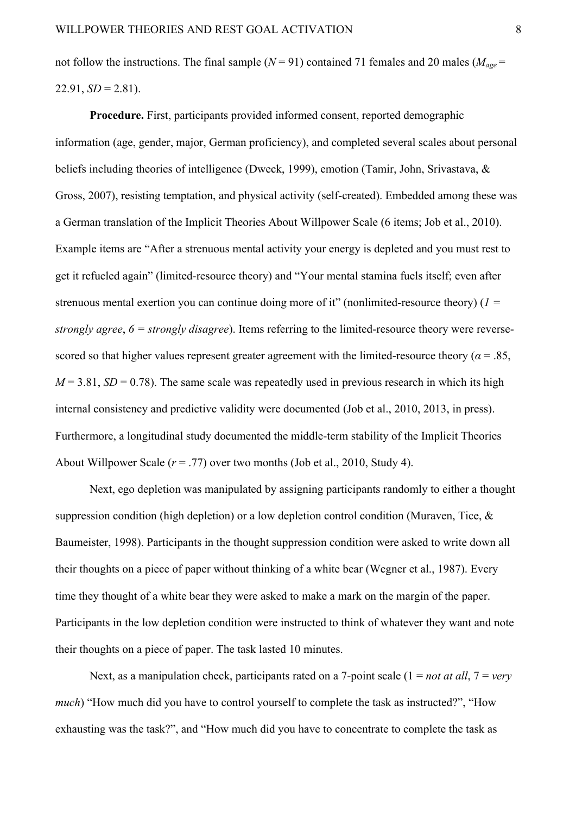not follow the instructions. The final sample ( $N = 91$ ) contained 71 females and 20 males ( $M_{age} =$  $22.91, SD = 2.81$ ).

**Procedure.** First, participants provided informed consent, reported demographic information (age, gender, major, German proficiency), and completed several scales about personal beliefs including theories of intelligence (Dweck, 1999), emotion (Tamir, John, Srivastava, & Gross, 2007), resisting temptation, and physical activity (self-created). Embedded among these was a German translation of the Implicit Theories About Willpower Scale (6 items; Job et al., 2010). Example items are "After a strenuous mental activity your energy is depleted and you must rest to get it refueled again" (limited-resource theory) and "Your mental stamina fuels itself; even after strenuous mental exertion you can continue doing more of it" (nonlimited-resource theory) (*1 = strongly agree*, *6 = strongly disagree*). Items referring to the limited-resource theory were reversescored so that higher values represent greater agreement with the limited-resource theory ( $\alpha$  = .85,  $M = 3.81$ ,  $SD = 0.78$ ). The same scale was repeatedly used in previous research in which its high internal consistency and predictive validity were documented (Job et al., 2010, 2013, in press). Furthermore, a longitudinal study documented the middle-term stability of the Implicit Theories About Willpower Scale (*r* = .77) over two months (Job et al., 2010, Study 4).

Next, ego depletion was manipulated by assigning participants randomly to either a thought suppression condition (high depletion) or a low depletion control condition (Muraven, Tice, & Baumeister, 1998). Participants in the thought suppression condition were asked to write down all their thoughts on a piece of paper without thinking of a white bear (Wegner et al., 1987). Every time they thought of a white bear they were asked to make a mark on the margin of the paper. Participants in the low depletion condition were instructed to think of whatever they want and note their thoughts on a piece of paper. The task lasted 10 minutes.

Next, as a manipulation check, participants rated on a 7-point scale (1 = *not at all*, 7 = *very much*) "How much did you have to control yourself to complete the task as instructed?", "How exhausting was the task?", and "How much did you have to concentrate to complete the task as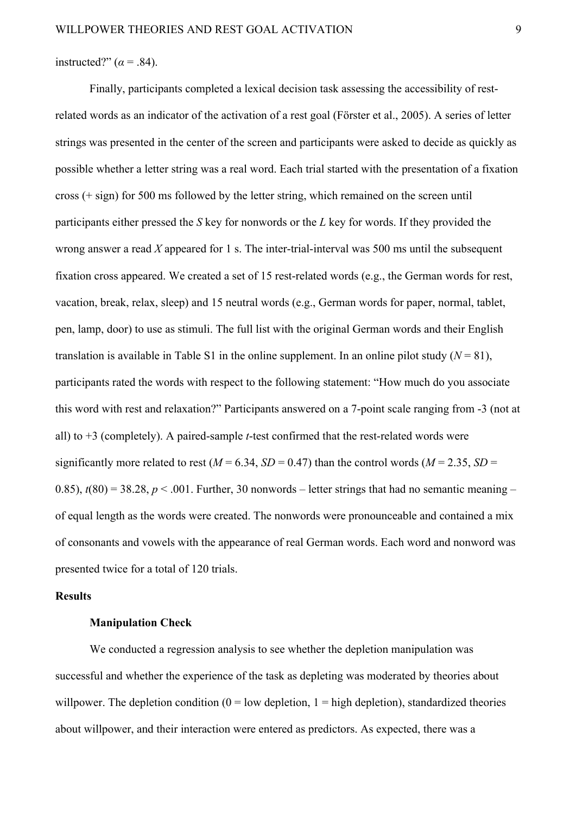instructed?"  $(\alpha = .84)$ .

Finally, participants completed a lexical decision task assessing the accessibility of restrelated words as an indicator of the activation of a rest goal (Förster et al., 2005). A series of letter strings was presented in the center of the screen and participants were asked to decide as quickly as possible whether a letter string was a real word. Each trial started with the presentation of a fixation cross (+ sign) for 500 ms followed by the letter string, which remained on the screen until participants either pressed the *S* key for nonwords or the *L* key for words. If they provided the wrong answer a read *X* appeared for 1 s. The inter-trial-interval was 500 ms until the subsequent fixation cross appeared. We created a set of 15 rest-related words (e.g., the German words for rest, vacation, break, relax, sleep) and 15 neutral words (e.g., German words for paper, normal, tablet, pen, lamp, door) to use as stimuli. The full list with the original German words and their English translation is available in Table S1 in the online supplement. In an online pilot study  $(N = 81)$ , participants rated the words with respect to the following statement: "How much do you associate this word with rest and relaxation?" Participants answered on a 7-point scale ranging from -3 (not at all) to +3 (completely). A paired-sample *t*-test confirmed that the rest-related words were significantly more related to rest ( $M = 6.34$ ,  $SD = 0.47$ ) than the control words ( $M = 2.35$ ,  $SD =$ 0.85),  $t(80) = 38.28$ ,  $p < .001$ . Further, 30 nonwords – letter strings that had no semantic meaning – of equal length as the words were created. The nonwords were pronounceable and contained a mix of consonants and vowels with the appearance of real German words. Each word and nonword was presented twice for a total of 120 trials.

# **Results**

# **Manipulation Check**

We conducted a regression analysis to see whether the depletion manipulation was successful and whether the experience of the task as depleting was moderated by theories about willpower. The depletion condition  $(0 = low \text{ depletion}, 1 = high \text{ depletion})$ , standardized theories about willpower, and their interaction were entered as predictors. As expected, there was a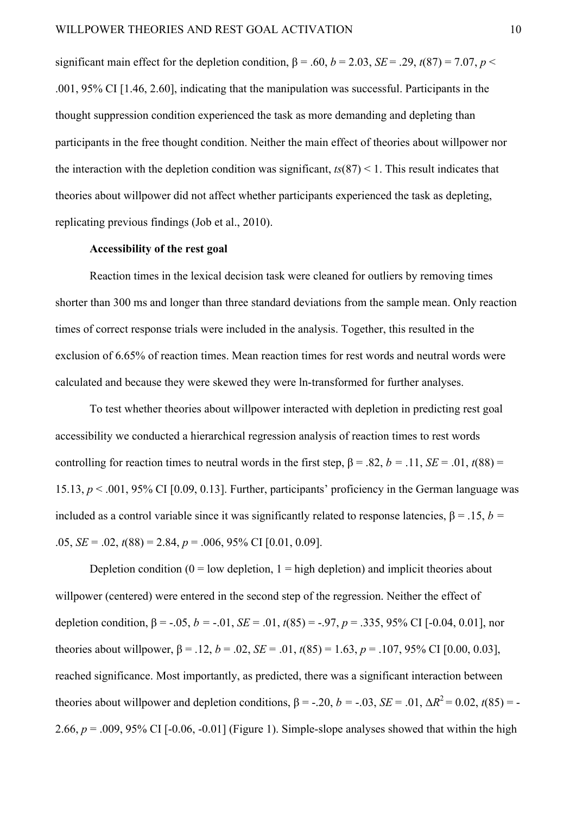significant main effect for the depletion condition,  $\beta = .60$ ,  $b = 2.03$ ,  $SE = .29$ ,  $t(87) = 7.07$ ,  $p <$ .001, 95% CI [1.46, 2.60], indicating that the manipulation was successful. Participants in the thought suppression condition experienced the task as more demanding and depleting than participants in the free thought condition. Neither the main effect of theories about willpower nor the interaction with the depletion condition was significant,  $ts(87) < 1$ . This result indicates that theories about willpower did not affect whether participants experienced the task as depleting, replicating previous findings (Job et al., 2010).

# **Accessibility of the rest goal**

Reaction times in the lexical decision task were cleaned for outliers by removing times shorter than 300 ms and longer than three standard deviations from the sample mean. Only reaction times of correct response trials were included in the analysis. Together, this resulted in the exclusion of 6.65% of reaction times. Mean reaction times for rest words and neutral words were calculated and because they were skewed they were ln-transformed for further analyses.

To test whether theories about willpower interacted with depletion in predicting rest goal accessibility we conducted a hierarchical regression analysis of reaction times to rest words controlling for reaction times to neutral words in the first step,  $\beta = .82$ ,  $b = .11$ ,  $SE = .01$ ,  $t(88) =$ 15.13, *p* < .001, 95% CI [0.09, 0.13]. Further, participants' proficiency in the German language was included as a control variable since it was significantly related to response latencies,  $\beta = .15$ ,  $b =$ .05, *SE=* .02, *t*(88) = 2.84, *p* = .006, 95% CI [0.01, 0.09].

Depletion condition  $(0 = low \text{ depletion}, 1 = high \text{ depletion})$  and implicit theories about willpower (centered) were entered in the second step of the regression. Neither the effect of depletion condition,  $\beta$  = -.05,  $b$  = -.01, *SE* = .01,  $t(85)$  = -.97,  $p = .335, 95\%$  CI [-0.04, 0.01], nor theories about willpower,  $\beta$  = .12, *b* = .02, *SE* = .01,  $t(85)$  = 1.63, *p* = .107, 95% CI [0.00, 0.03], reached significance. Most importantly, as predicted, there was a significant interaction between theories about willpower and depletion conditions,  $\beta = -0.20$ ,  $b = -0.03$ ,  $SE = 0.01$ ,  $\Delta R^2 = 0.02$ ,  $t(85) = -0.02$ 2.66,  $p = .009$ , 95% CI  $[-0.06, -0.01]$  (Figure 1). Simple-slope analyses showed that within the high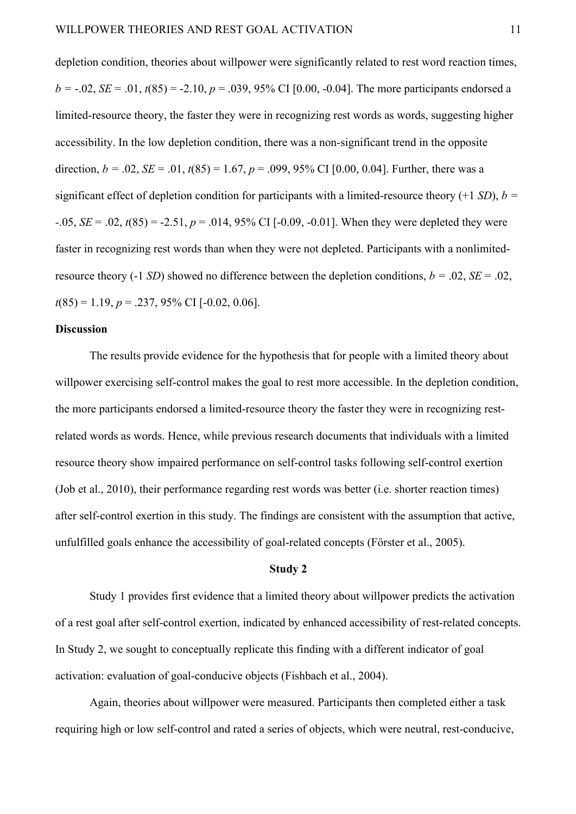depletion condition, theories about willpower were significantly related to rest word reaction times,  $b = -0.02$ , *SE* = .01,  $t(85) = -2.10$ ,  $p = 0.039$ , 95% CI [0.00, -0.04]. The more participants endorsed a limited-resource theory, the faster they were in recognizing rest words as words, suggesting higher accessibility. In the low depletion condition, there was a non-significant trend in the opposite direction,  $b = .02$ ,  $SE = .01$ ,  $t(85) = 1.67$ ,  $p = .099$ , 95% CI [0.00, 0.04]. Further, there was a significant effect of depletion condition for participants with a limited-resource theory  $(+1 SD)$ ,  $b =$ *-*.05, *SE=* .02, *t*(85) = -2.51, *p* = .014, 95% CI [-0.09, -0.01]. When they were depleted they were faster in recognizing rest words than when they were not depleted. Participants with a nonlimitedresource theory (-1 *SD*) showed no difference between the depletion conditions,  $b = .02$ ,  $SE = .02$ , *t*(85) = 1.19, *p* = .237, 95% CI [-0.02, 0.06].

# **Discussion**

The results provide evidence for the hypothesis that for people with a limited theory about willpower exercising self-control makes the goal to rest more accessible. In the depletion condition, the more participants endorsed a limited-resource theory the faster they were in recognizing restrelated words as words. Hence, while previous research documents that individuals with a limited resource theory show impaired performance on self-control tasks following self-control exertion (Job et al., 2010), their performance regarding rest words was better (i.e. shorter reaction times) after self-control exertion in this study. The findings are consistent with the assumption that active, unfulfilled goals enhance the accessibility of goal-related concepts (Förster et al., 2005).

# **Study 2**

Study 1 provides first evidence that a limited theory about willpower predicts the activation of a rest goal after self-control exertion, indicated by enhanced accessibility of rest-related concepts. In Study 2, we sought to conceptually replicate this finding with a different indicator of goal activation: evaluation of goal-conducive objects (Fishbach et al., 2004).

Again, theories about willpower were measured. Participants then completed either a task requiring high or low self-control and rated a series of objects, which were neutral, rest-conducive,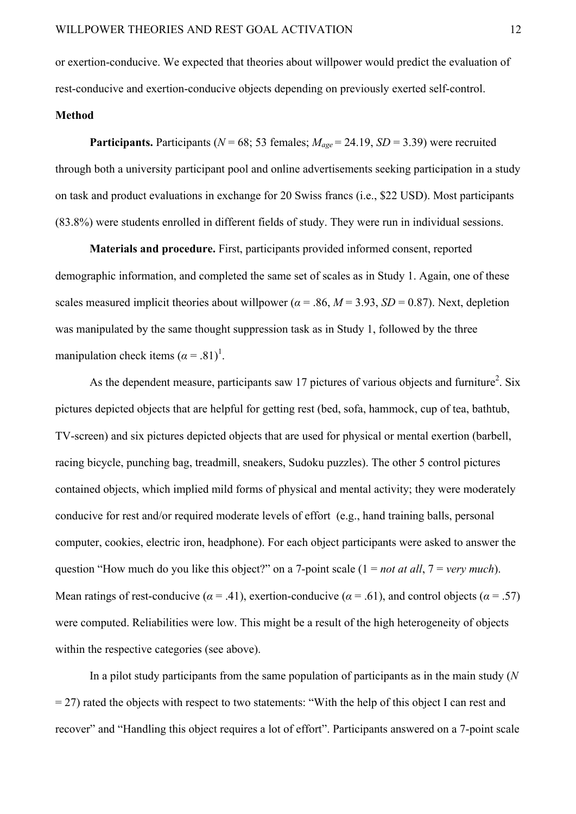or exertion-conducive. We expected that theories about willpower would predict the evaluation of rest-conducive and exertion-conducive objects depending on previously exerted self-control.

# **Method**

**Participants.** Participants ( $N = 68$ ; 53 females;  $M_{\text{age}} = 24.19$ ,  $SD = 3.39$ ) were recruited through both a university participant pool and online advertisements seeking participation in a study on task and product evaluations in exchange for 20 Swiss francs (i.e., \$22 USD). Most participants (83.8%) were students enrolled in different fields of study. They were run in individual sessions.

**Materials and procedure.** First, participants provided informed consent, reported demographic information, and completed the same set of scales as in Study 1. Again, one of these scales measured implicit theories about willpower ( $\alpha$  = .86,  $M$  = 3.93, *SD* = 0.87). Next, depletion was manipulated by the same thought suppression task as in Study 1, followed by the three manipulation check items  $(\alpha = .81)^1$ .

As the dependent measure, participants saw 17 pictures of various objects and furniture<sup>2</sup>. Six pictures depicted objects that are helpful for getting rest (bed, sofa, hammock, cup of tea, bathtub, TV-screen) and six pictures depicted objects that are used for physical or mental exertion (barbell, racing bicycle, punching bag, treadmill, sneakers, Sudoku puzzles). The other 5 control pictures contained objects, which implied mild forms of physical and mental activity; they were moderately conducive for rest and/or required moderate levels of effort (e.g., hand training balls, personal computer, cookies, electric iron, headphone). For each object participants were asked to answer the question "How much do you like this object?" on a 7-point scale (1 = *not at all*, 7 = *very much*). Mean ratings of rest-conducive ( $\alpha$  = .41), exertion-conducive ( $\alpha$  = .61), and control objects ( $\alpha$  = .57) were computed. Reliabilities were low. This might be a result of the high heterogeneity of objects within the respective categories (see above).

In a pilot study participants from the same population of participants as in the main study (*N*  $= 27$ ) rated the objects with respect to two statements: "With the help of this object I can rest and recover" and "Handling this object requires a lot of effort". Participants answered on a 7-point scale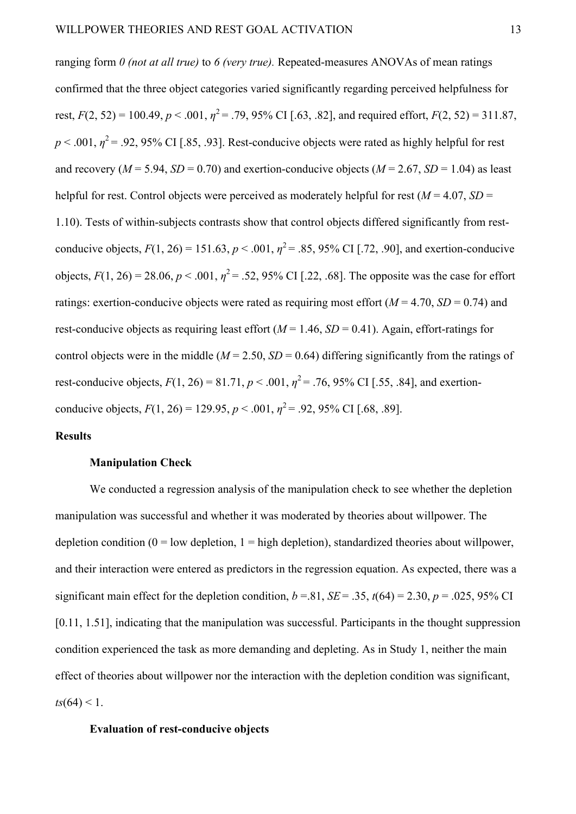ranging form *0 (not at all true)* to *6 (very true).* Repeated-measures ANOVAs of mean ratings confirmed that the three object categories varied significantly regarding perceived helpfulness for rest,  $F(2, 52) = 100.49$ ,  $p < .001$ ,  $\eta^2 = .79$ , 95% CI [.63, .82], and required effort,  $F(2, 52) = 311.87$ ,  $p < .001$ ,  $\eta^2 = .92$ , 95% CI [.85, .93]. Rest-conducive objects were rated as highly helpful for rest and recovery ( $M = 5.94$ ,  $SD = 0.70$ ) and exertion-conducive objects ( $M = 2.67$ ,  $SD = 1.04$ ) as least helpful for rest. Control objects were perceived as moderately helpful for rest ( $M = 4.07$ ,  $SD =$ 1.10). Tests of within-subjects contrasts show that control objects differed significantly from restconducive objects,  $F(1, 26) = 151.63$ ,  $p < .001$ ,  $\eta^2 = .85$ , 95% CI [.72, .90], and exertion-conducive objects,  $F(1, 26) = 28.06$ ,  $p < .001$ ,  $\eta^2 = .52$ , 95% CI [.22, .68]. The opposite was the case for effort ratings: exertion-conducive objects were rated as requiring most effort  $(M = 4.70, SD = 0.74)$  and rest-conducive objects as requiring least effort  $(M = 1.46, SD = 0.41)$ . Again, effort-ratings for control objects were in the middle ( $M = 2.50$ ,  $SD = 0.64$ ) differing significantly from the ratings of rest-conducive objects,  $F(1, 26) = 81.71$ ,  $p < .001$ ,  $\eta^2 = .76$ , 95% CI [.55, .84], and exertionconducive objects,  $F(1, 26) = 129.95$ ,  $p < .001$ ,  $\eta^2 = .92$ , 95% CI [.68, .89].

# **Results**

# **Manipulation Check**

We conducted a regression analysis of the manipulation check to see whether the depletion manipulation was successful and whether it was moderated by theories about willpower. The depletion condition  $(0 = low \text{ depletion}, 1 = high \text{ depletion})$ , standardized theories about will power, and their interaction were entered as predictors in the regression equation. As expected, there was a significant main effect for the depletion condition,  $b = .81$ ,  $SE = .35$ ,  $t(64) = 2.30$ ,  $p = .025$ , 95% CI [0.11, 1.51], indicating that the manipulation was successful. Participants in the thought suppression condition experienced the task as more demanding and depleting. As in Study 1, neither the main effect of theories about willpower nor the interaction with the depletion condition was significant,  $ts(64) < 1$ .

# **Evaluation of rest-conducive objects**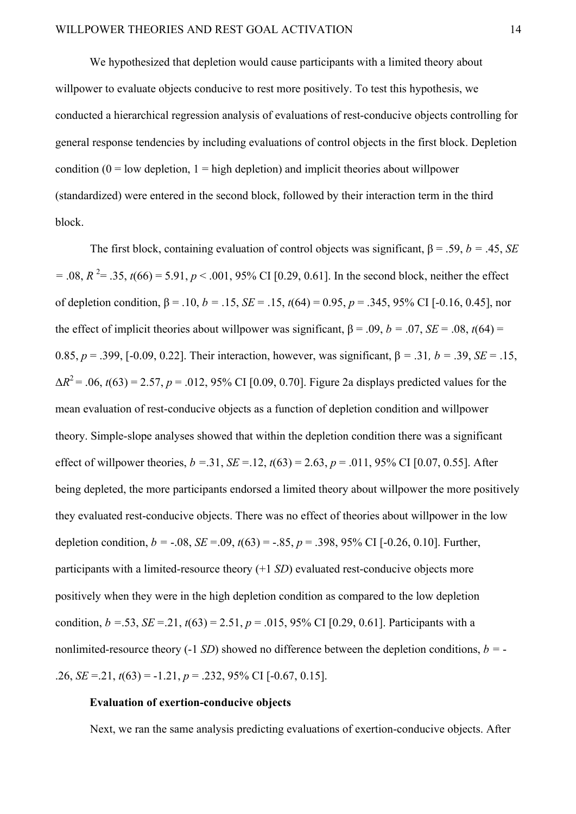We hypothesized that depletion would cause participants with a limited theory about willpower to evaluate objects conducive to rest more positively. To test this hypothesis, we conducted a hierarchical regression analysis of evaluations of rest-conducive objects controlling for general response tendencies by including evaluations of control objects in the first block. Depletion condition  $(0 = low \text{ depletion}, 1 = high \text{ depletion})$  and implicit theories about will power (standardized) were entered in the second block, followed by their interaction term in the third block.

The first block, containing evaluation of control objects was significant,  $\beta$  = .59, *b* = .45, *SE*  $=$  .08,  $R^2$  = .35,  $t(66)$  = 5.91,  $p$  < .001, 95% CI [0.29, 0.61]. In the second block, neither the effect of depletion condition,  $\beta = 0.10$ ,  $b = 0.15$ ,  $SE = 0.15$ ,  $t(64) = 0.95$ ,  $p = 0.345$ ,  $95\%$  CI [-0.16, 0.45], nor the effect of implicit theories about willpower was significant,  $\beta = .09$ ,  $b = .07$ ,  $SE = .08$ ,  $t(64) =$ 0.85, *p* = .399, [-0.09, 0.22]. Their interaction, however, was significant, β *=* .31*, b =* .39, *SE=* .15,  $\Delta R^2 = .06$ ,  $t(63) = 2.57$ ,  $p = .012$ , 95% CI [0.09, 0.70]. Figure 2a displays predicted values for the mean evaluation of rest-conducive objects as a function of depletion condition and willpower theory. Simple-slope analyses showed that within the depletion condition there was a significant effect of willpower theories,  $b = 0.31$ ,  $SE = 0.12$ ,  $t(63) = 2.63$ ,  $p = 0.011$ , 95% CI [0.07, 0.55]. After being depleted, the more participants endorsed a limited theory about willpower the more positively they evaluated rest-conducive objects. There was no effect of theories about willpower in the low depletion condition,  $b = -.08$ ,  $SE = .09$ ,  $t(63) = -.85$ ,  $p = .398$ , 95% CI [-0.26, 0.10]. Further, participants with a limited-resource theory (+1 *SD*) evaluated rest-conducive objects more positively when they were in the high depletion condition as compared to the low depletion condition,  $b = .53$ ,  $SE = .21$ ,  $t(63) = 2.51$ ,  $p = .015$ , 95% CI [0.29, 0.61]. Participants with a nonlimited-resource theory (-1 *SD*) showed no difference between the depletion conditions,  $b = -$ .26, *SE=*.21, *t*(63) = -1.21, *p* = .232, 95% CI [-0.67, 0.15].

#### **Evaluation of exertion-conducive objects**

Next, we ran the same analysis predicting evaluations of exertion-conducive objects. After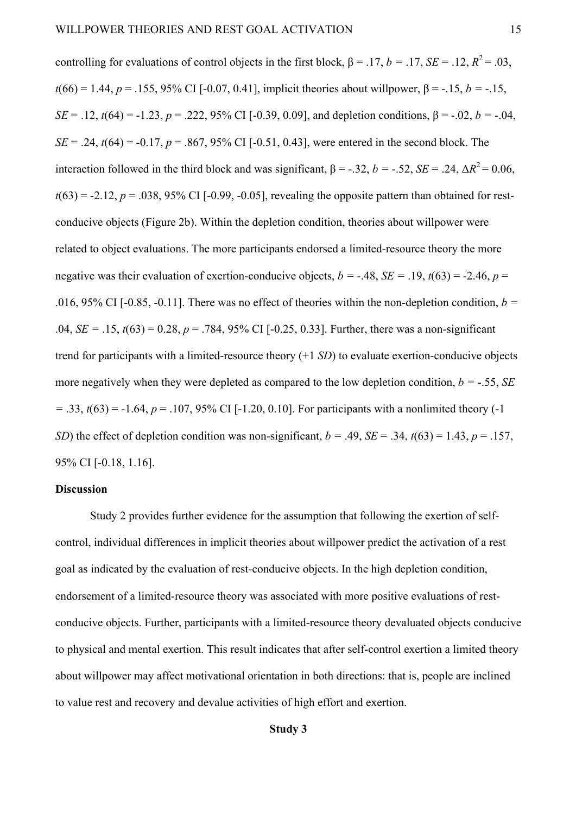controlling for evaluations of control objects in the first block,  $\beta = .17$ ,  $b = .17$ ,  $SE = .12$ ,  $R^2 = .03$ , *t*(66) = 1.44, *p* = .155, 95% CI [-0.07, 0.41], implicit theories about will power, β = -.15, *b* = -.15, *SE* = .12, *t*(64) = -1.23, *p* = .222, 95% CI [-0.39, 0.09], and depletion conditions,  $\beta$  = -.02, *b* = -.04, *SE* = .24,  $t(64)$  = -0.17,  $p = .867, 95\%$  CI [-0.51, 0.43], were entered in the second block. The interaction followed in the third block and was significant,  $β = -.32$ ,  $b = -.52$ ,  $SE = .24$ ,  $ΔR^2 = 0.06$ ,  $t(63) = -2.12$ ,  $p = .038$ , 95% CI [-0.99, -0.05], revealing the opposite pattern than obtained for restconducive objects (Figure 2b). Within the depletion condition, theories about willpower were related to object evaluations. The more participants endorsed a limited-resource theory the more negative was their evaluation of exertion-conducive objects,  $b = -0.48$ ,  $SE = 0.19$ ,  $t(63) = -0.246$ ,  $p = 0.246$ .016, 95% CI [-0.85, -0.11]. There was no effect of theories within the non-depletion condition,  $b =$ .04, *SE* = .15,  $t(63) = 0.28$ ,  $p = .784$ , 95% CI [-0.25, 0.33]. Further, there was a non-significant trend for participants with a limited-resource theory (+1 *SD*) to evaluate exertion-conducive objects more negatively when they were depleted as compared to the low depletion condition,  $b = -.55$ , *SE*  $=$  .33,  $t(63) = -1.64$ ,  $p = 0.107$ , 95% CI [-1.20, 0.10]. For participants with a nonlimited theory (-1) *SD*) the effect of depletion condition was non-significant,  $b = .49$ ,  $SE = .34$ ,  $t(63) = 1.43$ ,  $p = .157$ , 95% CI [-0.18, 1.16].

# **Discussion**

Study 2 provides further evidence for the assumption that following the exertion of selfcontrol, individual differences in implicit theories about willpower predict the activation of a rest goal as indicated by the evaluation of rest-conducive objects. In the high depletion condition, endorsement of a limited-resource theory was associated with more positive evaluations of restconducive objects. Further, participants with a limited-resource theory devaluated objects conducive to physical and mental exertion. This result indicates that after self-control exertion a limited theory about willpower may affect motivational orientation in both directions: that is, people are inclined to value rest and recovery and devalue activities of high effort and exertion.

# **Study 3**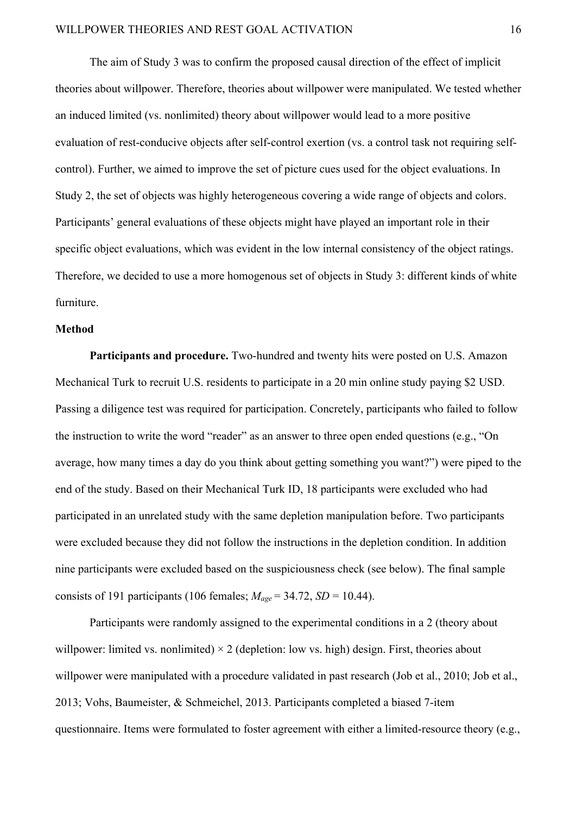The aim of Study 3 was to confirm the proposed causal direction of the effect of implicit theories about willpower. Therefore, theories about willpower were manipulated. We tested whether an induced limited (vs. nonlimited) theory about willpower would lead to a more positive evaluation of rest-conducive objects after self-control exertion (vs. a control task not requiring selfcontrol). Further, we aimed to improve the set of picture cues used for the object evaluations. In Study 2, the set of objects was highly heterogeneous covering a wide range of objects and colors. Participants' general evaluations of these objects might have played an important role in their specific object evaluations, which was evident in the low internal consistency of the object ratings. Therefore, we decided to use a more homogenous set of objects in Study 3: different kinds of white furniture.

#### **Method**

**Participants and procedure.** Two-hundred and twenty hits were posted on U.S. Amazon Mechanical Turk to recruit U.S. residents to participate in a 20 min online study paying \$2 USD. Passing a diligence test was required for participation. Concretely, participants who failed to follow the instruction to write the word "reader" as an answer to three open ended questions (e.g., "On average, how many times a day do you think about getting something you want?") were piped to the end of the study. Based on their Mechanical Turk ID, 18 participants were excluded who had participated in an unrelated study with the same depletion manipulation before. Two participants were excluded because they did not follow the instructions in the depletion condition. In addition nine participants were excluded based on the suspiciousness check (see below). The final sample consists of 191 participants (106 females;  $M_{age} = 34.72$ , *SD* = 10.44).

Participants were randomly assigned to the experimental conditions in a 2 (theory about willpower: limited vs. nonlimited)  $\times$  2 (depletion: low vs. high) design. First, theories about willpower were manipulated with a procedure validated in past research (Job et al., 2010; Job et al., 2013; Vohs, Baumeister, & Schmeichel, 2013. Participants completed a biased 7-item questionnaire. Items were formulated to foster agreement with either a limited-resource theory (e.g.,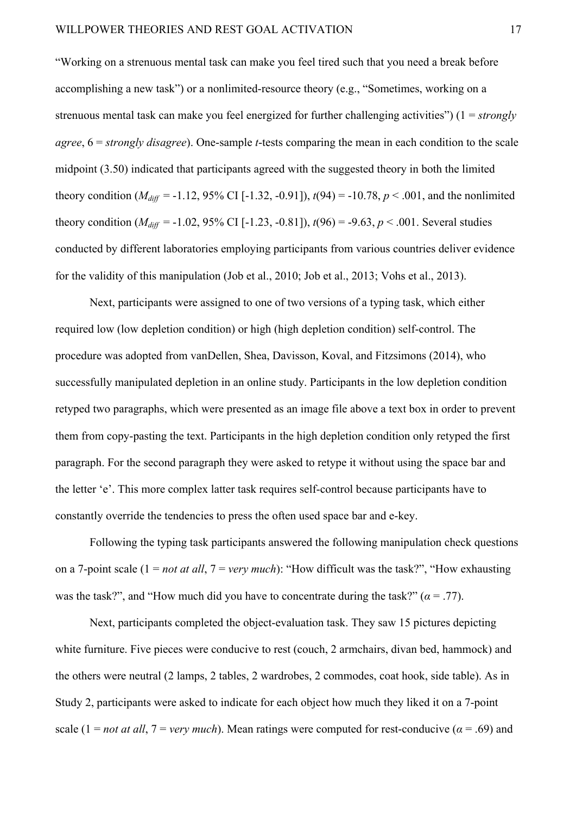"Working on a strenuous mental task can make you feel tired such that you need a break before accomplishing a new task") or a nonlimited-resource theory (e.g., "Sometimes, working on a strenuous mental task can make you feel energized for further challenging activities") (1 = *strongly agree*, 6 = *strongly disagree*). One-sample *t*-tests comparing the mean in each condition to the scale midpoint (3.50) indicated that participants agreed with the suggested theory in both the limited theory condition ( $M_{diff}$  = -1.12, 95% CI [-1.32, -0.91]),  $t(94)$  = -10.78,  $p < .001$ , and the nonlimited theory condition ( $M_{diff}$  = -1.02, 95% CI [-1.23, -0.81]),  $t(96)$  = -9.63,  $p < .001$ . Several studies conducted by different laboratories employing participants from various countries deliver evidence for the validity of this manipulation (Job et al., 2010; Job et al., 2013; Vohs et al., 2013).

Next, participants were assigned to one of two versions of a typing task, which either required low (low depletion condition) or high (high depletion condition) self-control. The procedure was adopted from vanDellen, Shea, Davisson, Koval, and Fitzsimons (2014), who successfully manipulated depletion in an online study. Participants in the low depletion condition retyped two paragraphs, which were presented as an image file above a text box in order to prevent them from copy-pasting the text. Participants in the high depletion condition only retyped the first paragraph. For the second paragraph they were asked to retype it without using the space bar and the letter 'e'. This more complex latter task requires self-control because participants have to constantly override the tendencies to press the often used space bar and e-key.

Following the typing task participants answered the following manipulation check questions on a 7-point scale (1 = *not at all*, 7 = *very much*): "How difficult was the task?", "How exhausting was the task?", and "How much did you have to concentrate during the task?"  $(a = .77)$ .

Next, participants completed the object-evaluation task. They saw 15 pictures depicting white furniture. Five pieces were conducive to rest (couch, 2 armchairs, divan bed, hammock) and the others were neutral (2 lamps, 2 tables, 2 wardrobes, 2 commodes, coat hook, side table). As in Study 2, participants were asked to indicate for each object how much they liked it on a 7-point scale (1 = *not at all*,  $7 = \text{very much}$ ). Mean ratings were computed for rest-conducive ( $\alpha = .69$ ) and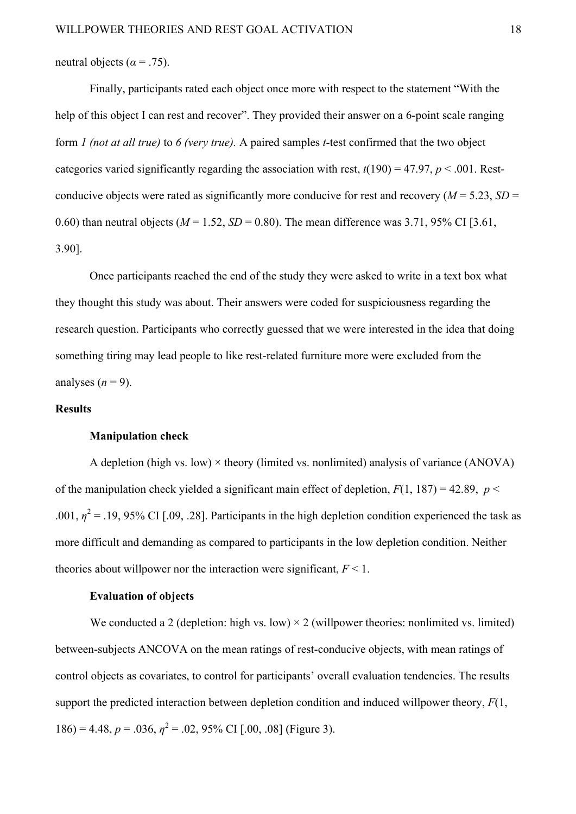neutral objects ( $\alpha$  = .75).

Finally, participants rated each object once more with respect to the statement "With the help of this object I can rest and recover". They provided their answer on a 6-point scale ranging form *1 (not at all true)* to *6 (very true).* A paired samples *t*-test confirmed that the two object categories varied significantly regarding the association with rest,  $t(190) = 47.97$ ,  $p < .001$ . Restconducive objects were rated as significantly more conducive for rest and recovery ( $M = 5.23$ ,  $SD =$ 0.60) than neutral objects ( $M = 1.52$ ,  $SD = 0.80$ ). The mean difference was 3.71, 95% CI [3.61, 3.90].

Once participants reached the end of the study they were asked to write in a text box what they thought this study was about. Their answers were coded for suspiciousness regarding the research question. Participants who correctly guessed that we were interested in the idea that doing something tiring may lead people to like rest-related furniture more were excluded from the analyses  $(n = 9)$ .

# **Results**

#### **Manipulation check**

A depletion (high vs. low)  $\times$  theory (limited vs. nonlimited) analysis of variance (ANOVA) of the manipulation check yielded a significant main effect of depletion,  $F(1, 187) = 42.89$ ,  $p <$ .001,  $\eta^2$  = .19, 95% CI [.09, .28]. Participants in the high depletion condition experienced the task as more difficult and demanding as compared to participants in the low depletion condition. Neither theories about will power nor the interaction were significant,  $F < 1$ .

# **Evaluation of objects**

We conducted a 2 (depletion: high vs. low)  $\times$  2 (willpower theories: nonlimited vs. limited) between-subjects ANCOVA on the mean ratings of rest-conducive objects, with mean ratings of control objects as covariates, to control for participants' overall evaluation tendencies. The results support the predicted interaction between depletion condition and induced willpower theory, *F*(1,  $186$ ) = 4.48,  $p = .036$ ,  $\eta^2 = .02$ , 95% CI [.00, .08] (Figure 3).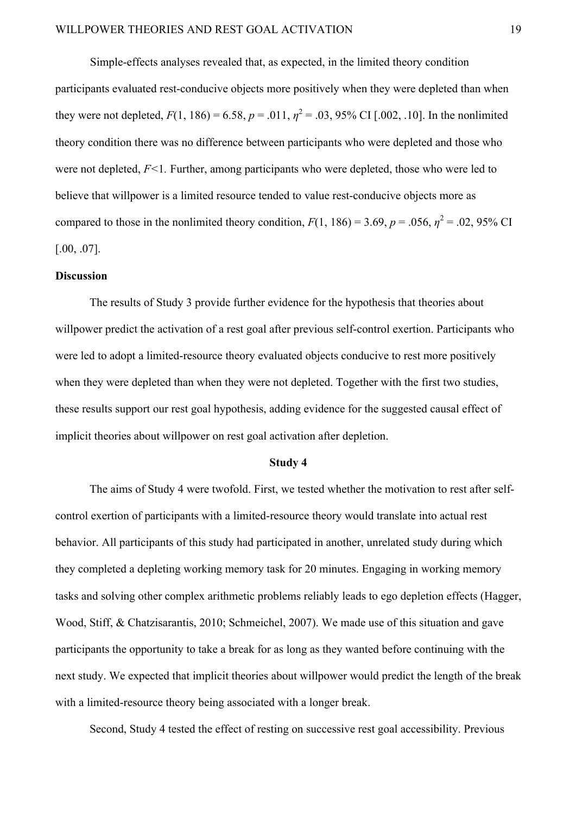Simple-effects analyses revealed that, as expected, in the limited theory condition participants evaluated rest-conducive objects more positively when they were depleted than when they were not depleted,  $F(1, 186) = 6.58$ ,  $p = .011$ ,  $\eta^2 = .03$ , 95% CI [.002, .10]. In the nonlimited theory condition there was no difference between participants who were depleted and those who were not depleted,  $F<1$ . Further, among participants who were depleted, those who were led to believe that willpower is a limited resource tended to value rest-conducive objects more as compared to those in the nonlimited theory condition,  $F(1, 186) = 3.69$ ,  $p = .056$ ,  $\eta^2 = .02$ , 95% CI [.00, .07].

#### **Discussion**

The results of Study 3 provide further evidence for the hypothesis that theories about willpower predict the activation of a rest goal after previous self-control exertion. Participants who were led to adopt a limited-resource theory evaluated objects conducive to rest more positively when they were depleted than when they were not depleted. Together with the first two studies, these results support our rest goal hypothesis, adding evidence for the suggested causal effect of implicit theories about willpower on rest goal activation after depletion.

# **Study 4**

The aims of Study 4 were twofold. First, we tested whether the motivation to rest after selfcontrol exertion of participants with a limited-resource theory would translate into actual rest behavior. All participants of this study had participated in another, unrelated study during which they completed a depleting working memory task for 20 minutes. Engaging in working memory tasks and solving other complex arithmetic problems reliably leads to ego depletion effects (Hagger, Wood, Stiff, & Chatzisarantis, 2010; Schmeichel, 2007). We made use of this situation and gave participants the opportunity to take a break for as long as they wanted before continuing with the next study. We expected that implicit theories about willpower would predict the length of the break with a limited-resource theory being associated with a longer break.

Second, Study 4 tested the effect of resting on successive rest goal accessibility. Previous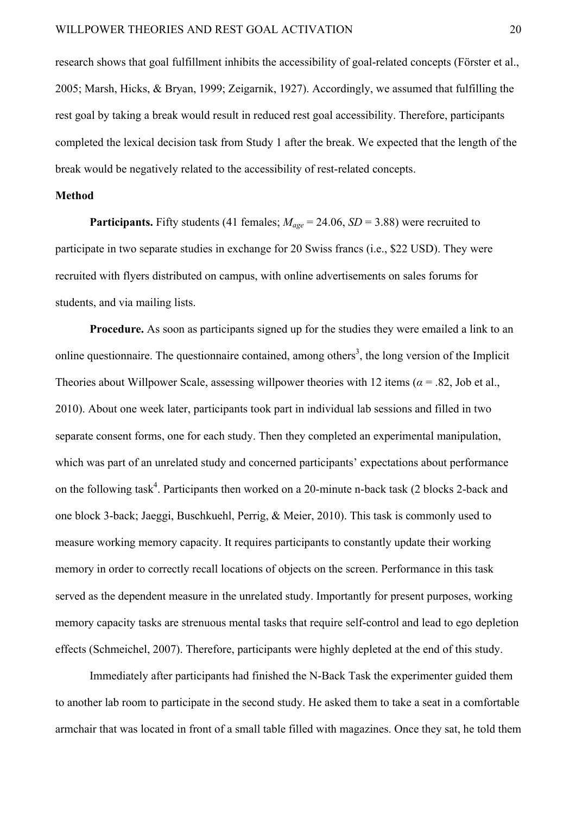research shows that goal fulfillment inhibits the accessibility of goal-related concepts (Förster et al., 2005; Marsh, Hicks, & Bryan, 1999; Zeigarnik, 1927). Accordingly, we assumed that fulfilling the rest goal by taking a break would result in reduced rest goal accessibility. Therefore, participants completed the lexical decision task from Study 1 after the break. We expected that the length of the break would be negatively related to the accessibility of rest-related concepts.

# **Method**

**Participants.** Fifty students (41 females;  $M_{age} = 24.06$ ,  $SD = 3.88$ ) were recruited to participate in two separate studies in exchange for 20 Swiss francs (i.e., \$22 USD). They were recruited with flyers distributed on campus, with online advertisements on sales forums for students, and via mailing lists.

**Procedure.** As soon as participants signed up for the studies they were emailed a link to an online questionnaire. The questionnaire contained, among others<sup>3</sup>, the long version of the Implicit Theories about Willpower Scale, assessing willpower theories with 12 items ( $\alpha$  = .82, Job et al., 2010). About one week later, participants took part in individual lab sessions and filled in two separate consent forms, one for each study. Then they completed an experimental manipulation, which was part of an unrelated study and concerned participants' expectations about performance on the following task<sup>4</sup>. Participants then worked on a 20-minute n-back task (2 blocks 2-back and one block 3-back; Jaeggi, Buschkuehl, Perrig, & Meier, 2010). This task is commonly used to measure working memory capacity. It requires participants to constantly update their working memory in order to correctly recall locations of objects on the screen. Performance in this task served as the dependent measure in the unrelated study. Importantly for present purposes, working memory capacity tasks are strenuous mental tasks that require self-control and lead to ego depletion effects (Schmeichel, 2007). Therefore, participants were highly depleted at the end of this study.

Immediately after participants had finished the N-Back Task the experimenter guided them to another lab room to participate in the second study. He asked them to take a seat in a comfortable armchair that was located in front of a small table filled with magazines. Once they sat, he told them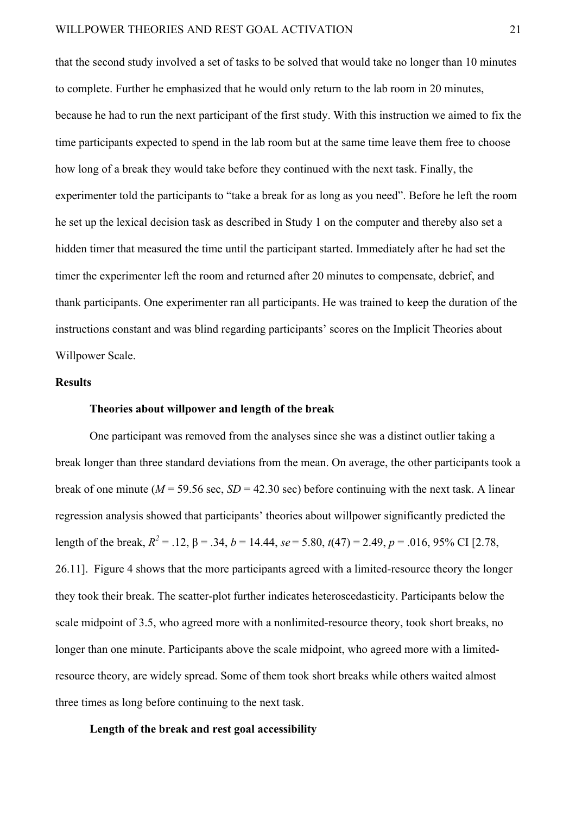that the second study involved a set of tasks to be solved that would take no longer than 10 minutes to complete. Further he emphasized that he would only return to the lab room in 20 minutes, because he had to run the next participant of the first study. With this instruction we aimed to fix the time participants expected to spend in the lab room but at the same time leave them free to choose how long of a break they would take before they continued with the next task. Finally, the experimenter told the participants to "take a break for as long as you need". Before he left the room he set up the lexical decision task as described in Study 1 on the computer and thereby also set a hidden timer that measured the time until the participant started. Immediately after he had set the timer the experimenter left the room and returned after 20 minutes to compensate, debrief, and thank participants. One experimenter ran all participants. He was trained to keep the duration of the instructions constant and was blind regarding participants' scores on the Implicit Theories about Willpower Scale.

# **Results**

# **Theories about willpower and length of the break**

One participant was removed from the analyses since she was a distinct outlier taking a break longer than three standard deviations from the mean. On average, the other participants took a break of one minute ( $M = 59.56$  sec,  $SD = 42.30$  sec) before continuing with the next task. A linear regression analysis showed that participants' theories about willpower significantly predicted the length of the break,  $R^2 = .12$ ,  $β = .34$ ,  $b = 14.44$ ,  $se = 5.80$ ,  $t(47) = 2.49$ ,  $p = .016$ , 95% CI [2.78, 26.11]. Figure 4 shows that the more participants agreed with a limited-resource theory the longer they took their break. The scatter-plot further indicates heteroscedasticity. Participants below the scale midpoint of 3.5, who agreed more with a nonlimited-resource theory, took short breaks, no longer than one minute. Participants above the scale midpoint, who agreed more with a limitedresource theory, are widely spread. Some of them took short breaks while others waited almost three times as long before continuing to the next task.

# **Length of the break and rest goal accessibility**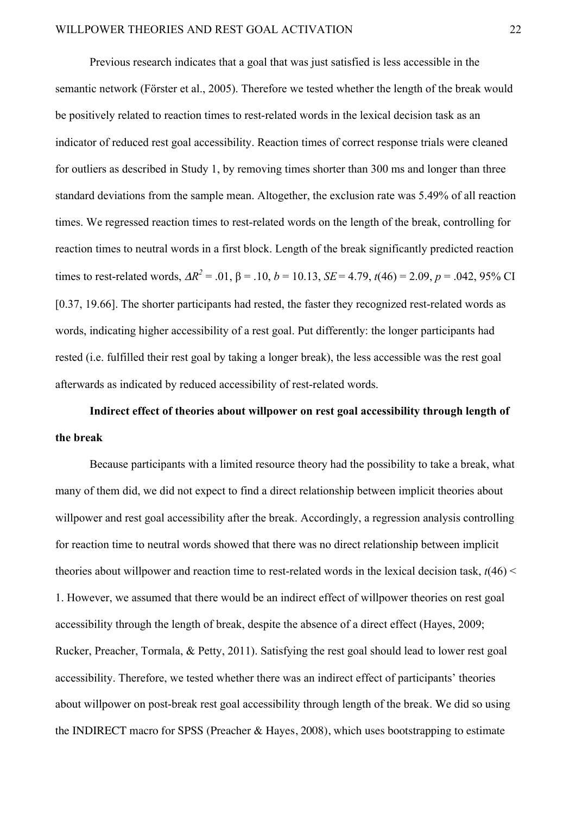Previous research indicates that a goal that was just satisfied is less accessible in the semantic network (Förster et al., 2005). Therefore we tested whether the length of the break would be positively related to reaction times to rest-related words in the lexical decision task as an indicator of reduced rest goal accessibility. Reaction times of correct response trials were cleaned for outliers as described in Study 1, by removing times shorter than 300 ms and longer than three standard deviations from the sample mean. Altogether, the exclusion rate was 5.49% of all reaction times. We regressed reaction times to rest-related words on the length of the break, controlling for reaction times to neutral words in a first block. Length of the break significantly predicted reaction times to rest-related words,  $\Delta R^2 = .01$ ,  $\beta = .10$ ,  $b = 10.13$ ,  $SE = 4.79$ ,  $t(46) = 2.09$ ,  $p = .042$ , 95% CI [0.37, 19.66]. The shorter participants had rested, the faster they recognized rest-related words as words, indicating higher accessibility of a rest goal. Put differently: the longer participants had rested (i.e. fulfilled their rest goal by taking a longer break), the less accessible was the rest goal afterwards as indicated by reduced accessibility of rest-related words.

**Indirect effect of theories about willpower on rest goal accessibility through length of the break**

Because participants with a limited resource theory had the possibility to take a break, what many of them did, we did not expect to find a direct relationship between implicit theories about willpower and rest goal accessibility after the break. Accordingly, a regression analysis controlling for reaction time to neutral words showed that there was no direct relationship between implicit theories about willpower and reaction time to rest-related words in the lexical decision task,  $t(46)$  < 1. However, we assumed that there would be an indirect effect of willpower theories on rest goal accessibility through the length of break, despite the absence of a direct effect (Hayes, 2009; Rucker, Preacher, Tormala, & Petty, 2011). Satisfying the rest goal should lead to lower rest goal accessibility. Therefore, we tested whether there was an indirect effect of participants' theories about willpower on post-break rest goal accessibility through length of the break. We did so using the INDIRECT macro for SPSS (Preacher & Hayes, 2008), which uses bootstrapping to estimate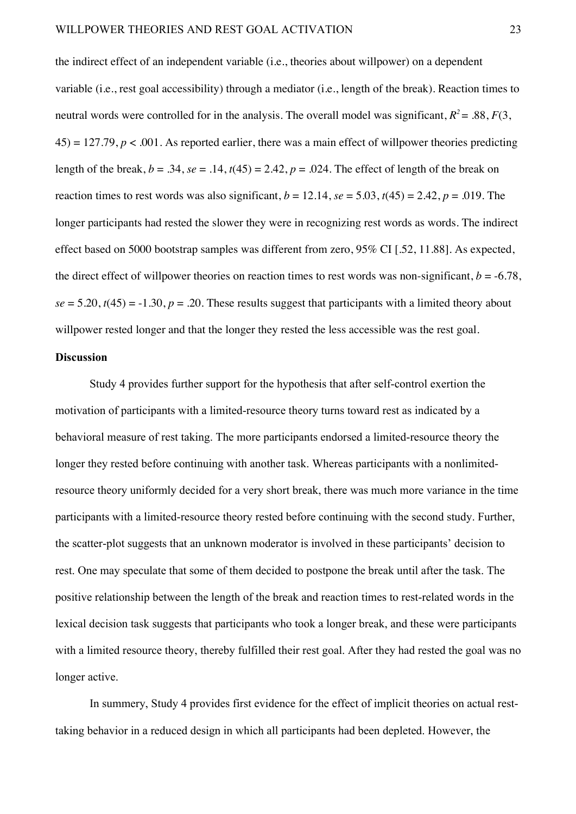the indirect effect of an independent variable (i.e., theories about willpower) on a dependent variable (i.e., rest goal accessibility) through a mediator (i.e., length of the break). Reaction times to neutral words were controlled for in the analysis. The overall model was significant,  $R^2 = .88, F(3, 1)$  $45$ ) = 127.79,  $p < .001$ . As reported earlier, there was a main effect of will power theories predicting length of the break,  $b = .34$ ,  $se = .14$ ,  $t(45) = 2.42$ ,  $p = .024$ . The effect of length of the break on reaction times to rest words was also significant,  $b = 12.14$ ,  $se = 5.03$ ,  $t(45) = 2.42$ ,  $p = .019$ . The longer participants had rested the slower they were in recognizing rest words as words. The indirect effect based on 5000 bootstrap samples was different from zero, 95% CI [.52, 11.88]. As expected, the direct effect of willpower theories on reaction times to rest words was non-significant,  $b = -6.78$ ,  $se = 5.20$ ,  $t(45) = -1.30$ ,  $p = .20$ . These results suggest that participants with a limited theory about willpower rested longer and that the longer they rested the less accessible was the rest goal.

# **Discussion**

Study 4 provides further support for the hypothesis that after self-control exertion the motivation of participants with a limited-resource theory turns toward rest as indicated by a behavioral measure of rest taking. The more participants endorsed a limited-resource theory the longer they rested before continuing with another task. Whereas participants with a nonlimitedresource theory uniformly decided for a very short break, there was much more variance in the time participants with a limited-resource theory rested before continuing with the second study. Further, the scatter-plot suggests that an unknown moderator is involved in these participants' decision to rest. One may speculate that some of them decided to postpone the break until after the task. The positive relationship between the length of the break and reaction times to rest-related words in the lexical decision task suggests that participants who took a longer break, and these were participants with a limited resource theory, thereby fulfilled their rest goal. After they had rested the goal was no longer active.

In summery, Study 4 provides first evidence for the effect of implicit theories on actual resttaking behavior in a reduced design in which all participants had been depleted. However, the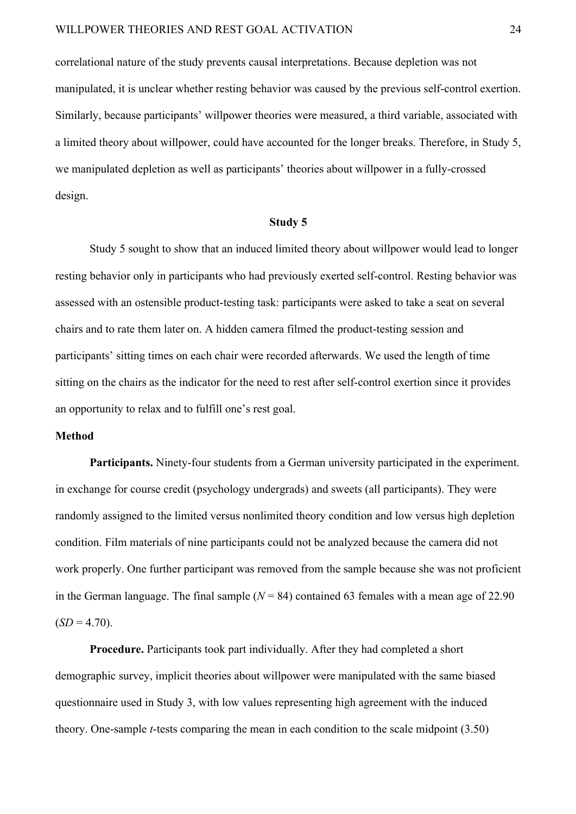correlational nature of the study prevents causal interpretations. Because depletion was not manipulated, it is unclear whether resting behavior was caused by the previous self-control exertion. Similarly, because participants' willpower theories were measured, a third variable, associated with a limited theory about willpower, could have accounted for the longer breaks. Therefore, in Study 5, we manipulated depletion as well as participants' theories about willpower in a fully-crossed design.

# **Study 5**

Study 5 sought to show that an induced limited theory about willpower would lead to longer resting behavior only in participants who had previously exerted self-control. Resting behavior was assessed with an ostensible product-testing task: participants were asked to take a seat on several chairs and to rate them later on. A hidden camera filmed the product-testing session and participants' sitting times on each chair were recorded afterwards. We used the length of time sitting on the chairs as the indicator for the need to rest after self-control exertion since it provides an opportunity to relax and to fulfill one's rest goal.

# **Method**

**Participants.** Ninety-four students from a German university participated in the experiment. in exchange for course credit (psychology undergrads) and sweets (all participants). They were randomly assigned to the limited versus nonlimited theory condition and low versus high depletion condition. Film materials of nine participants could not be analyzed because the camera did not work properly. One further participant was removed from the sample because she was not proficient in the German language. The final sample  $(N = 84)$  contained 63 females with a mean age of 22.90  $(SD = 4.70)$ .

**Procedure.** Participants took part individually. After they had completed a short demographic survey, implicit theories about willpower were manipulated with the same biased questionnaire used in Study 3, with low values representing high agreement with the induced theory. One-sample *t*-tests comparing the mean in each condition to the scale midpoint (3.50)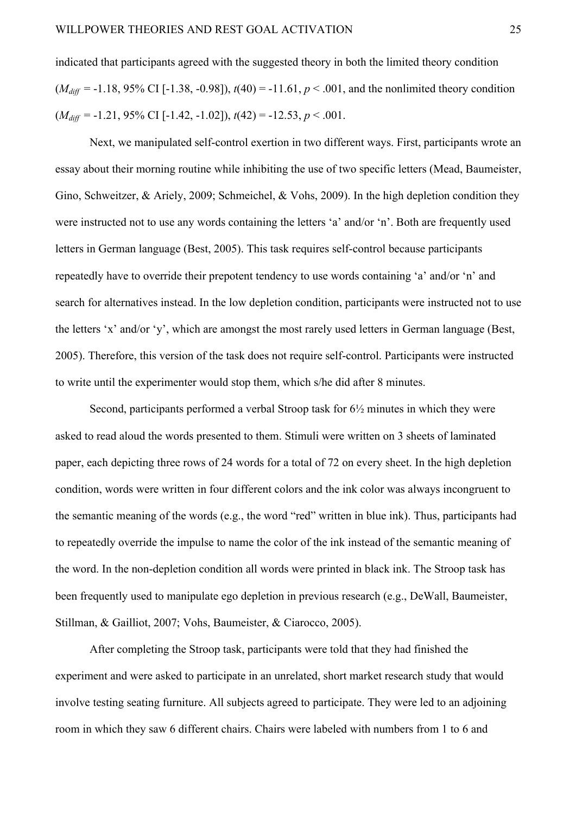indicated that participants agreed with the suggested theory in both the limited theory condition  $(M_{diff} = -1.18, 95\% \text{ CI} [-1.38, -0.98]), t(40) = -11.61, p < .001$ , and the nonlimited theory condition  $(M_{diff} = -1.21, 95\% \text{ CI} [-1.42, -1.02]), t(42) = -12.53, p < .001.$ 

Next, we manipulated self-control exertion in two different ways. First, participants wrote an essay about their morning routine while inhibiting the use of two specific letters (Mead, Baumeister, Gino, Schweitzer, & Ariely, 2009; Schmeichel, & Vohs, 2009). In the high depletion condition they were instructed not to use any words containing the letters 'a' and/or 'n'. Both are frequently used letters in German language (Best, 2005). This task requires self-control because participants repeatedly have to override their prepotent tendency to use words containing 'a' and/or 'n' and search for alternatives instead. In the low depletion condition, participants were instructed not to use the letters 'x' and/or 'y', which are amongst the most rarely used letters in German language (Best, 2005). Therefore, this version of the task does not require self-control. Participants were instructed to write until the experimenter would stop them, which s/he did after 8 minutes.

Second, participants performed a verbal Stroop task for 6½ minutes in which they were asked to read aloud the words presented to them. Stimuli were written on 3 sheets of laminated paper, each depicting three rows of 24 words for a total of 72 on every sheet. In the high depletion condition, words were written in four different colors and the ink color was always incongruent to the semantic meaning of the words (e.g., the word "red" written in blue ink). Thus, participants had to repeatedly override the impulse to name the color of the ink instead of the semantic meaning of the word. In the non-depletion condition all words were printed in black ink. The Stroop task has been frequently used to manipulate ego depletion in previous research (e.g., DeWall, Baumeister, Stillman, & Gailliot, 2007; Vohs, Baumeister, & Ciarocco, 2005).

After completing the Stroop task, participants were told that they had finished the experiment and were asked to participate in an unrelated, short market research study that would involve testing seating furniture. All subjects agreed to participate. They were led to an adjoining room in which they saw 6 different chairs. Chairs were labeled with numbers from 1 to 6 and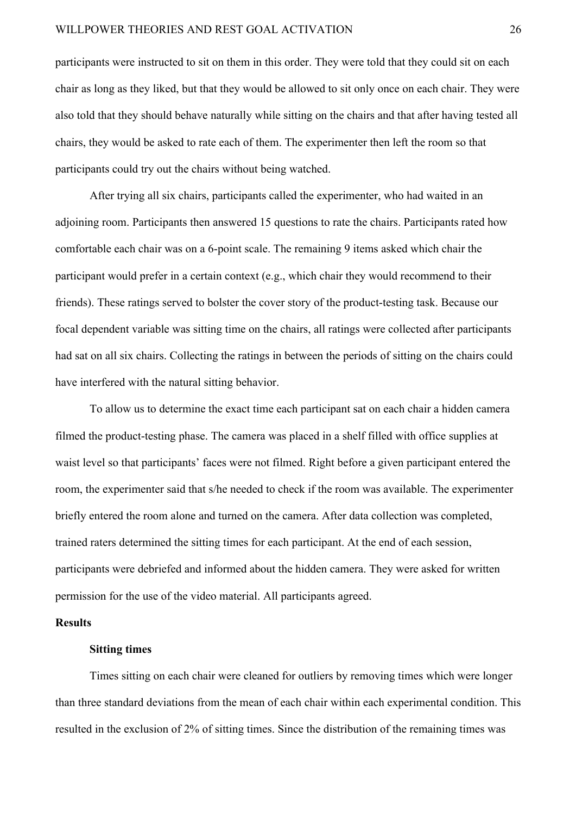participants were instructed to sit on them in this order. They were told that they could sit on each chair as long as they liked, but that they would be allowed to sit only once on each chair. They were also told that they should behave naturally while sitting on the chairs and that after having tested all chairs, they would be asked to rate each of them. The experimenter then left the room so that participants could try out the chairs without being watched.

After trying all six chairs, participants called the experimenter, who had waited in an adjoining room. Participants then answered 15 questions to rate the chairs. Participants rated how comfortable each chair was on a 6-point scale. The remaining 9 items asked which chair the participant would prefer in a certain context (e.g., which chair they would recommend to their friends). These ratings served to bolster the cover story of the product-testing task. Because our focal dependent variable was sitting time on the chairs, all ratings were collected after participants had sat on all six chairs. Collecting the ratings in between the periods of sitting on the chairs could have interfered with the natural sitting behavior.

To allow us to determine the exact time each participant sat on each chair a hidden camera filmed the product-testing phase. The camera was placed in a shelf filled with office supplies at waist level so that participants' faces were not filmed. Right before a given participant entered the room, the experimenter said that s/he needed to check if the room was available. The experimenter briefly entered the room alone and turned on the camera. After data collection was completed, trained raters determined the sitting times for each participant. At the end of each session, participants were debriefed and informed about the hidden camera. They were asked for written permission for the use of the video material. All participants agreed.

# **Results**

# **Sitting times**

Times sitting on each chair were cleaned for outliers by removing times which were longer than three standard deviations from the mean of each chair within each experimental condition. This resulted in the exclusion of 2% of sitting times. Since the distribution of the remaining times was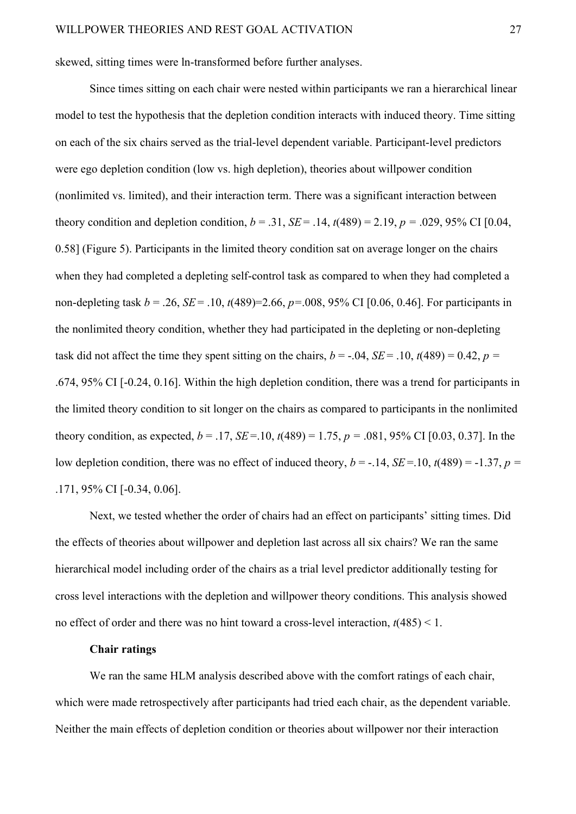skewed, sitting times were ln-transformed before further analyses.

Since times sitting on each chair were nested within participants we ran a hierarchical linear model to test the hypothesis that the depletion condition interacts with induced theory. Time sitting on each of the six chairs served as the trial-level dependent variable. Participant-level predictors were ego depletion condition (low vs. high depletion), theories about willpower condition (nonlimited vs. limited), and their interaction term. There was a significant interaction between theory condition and depletion condition,  $b = .31$ ,  $SE = .14$ ,  $t(489) = 2.19$ ,  $p = .029$ , 95% CI [0.04, 0.58] (Figure 5). Participants in the limited theory condition sat on average longer on the chairs when they had completed a depleting self-control task as compared to when they had completed a non-depleting task  $b = 0.26$ ,  $SE = 0.10$ ,  $t(489) = 2.66$ ,  $p = 0.08$ ,  $95\%$  CI [0.06, 0.46]. For participants in the nonlimited theory condition, whether they had participated in the depleting or non-depleting task did not affect the time they spent sitting on the chairs,  $b = -.04$ ,  $SE = .10$ ,  $t(489) = 0.42$ ,  $p =$ .674, 95% CI [-0.24, 0.16]. Within the high depletion condition, there was a trend for participants in the limited theory condition to sit longer on the chairs as compared to participants in the nonlimited theory condition, as expected,  $b = .17$ ,  $SE = .10$ ,  $t(489) = 1.75$ ,  $p = .081$ , 95% CI [0.03, 0.37]. In the low depletion condition, there was no effect of induced theory,  $b = -.14$ ,  $SE = .10$ ,  $t(489) = -1.37$ ,  $p =$ .171, 95% CI [-0.34, 0.06].

Next, we tested whether the order of chairs had an effect on participants' sitting times. Did the effects of theories about willpower and depletion last across all six chairs? We ran the same hierarchical model including order of the chairs as a trial level predictor additionally testing for cross level interactions with the depletion and willpower theory conditions. This analysis showed no effect of order and there was no hint toward a cross-level interaction,  $t(485) < 1$ .

# **Chair ratings**

We ran the same HLM analysis described above with the comfort ratings of each chair, which were made retrospectively after participants had tried each chair, as the dependent variable. Neither the main effects of depletion condition or theories about willpower nor their interaction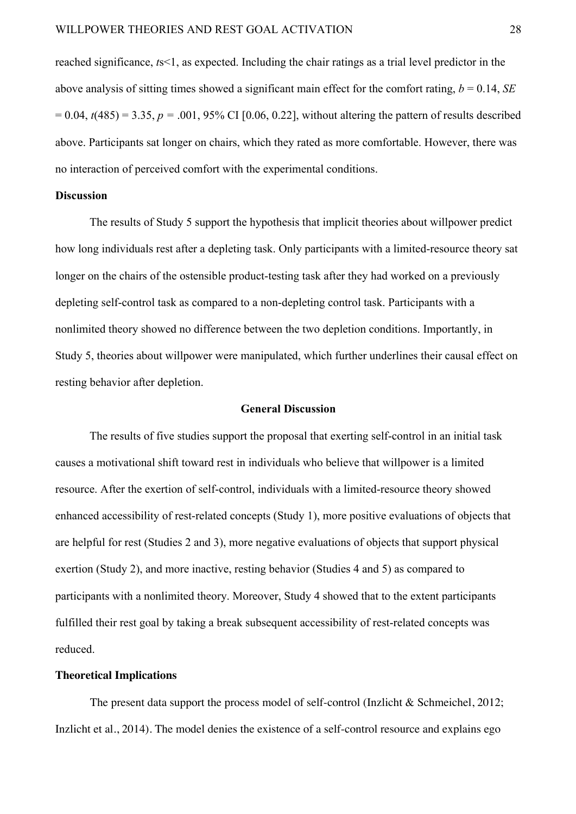reached significance, *t*s<1, as expected. Including the chair ratings as a trial level predictor in the above analysis of sitting times showed a significant main effect for the comfort rating,  $b = 0.14$ , *SE*  $= 0.04$ ,  $t(485) = 3.35$ ,  $p = .001$ , 95% CI [0.06, 0.22], without altering the pattern of results described above. Participants sat longer on chairs, which they rated as more comfortable. However, there was no interaction of perceived comfort with the experimental conditions.

# **Discussion**

The results of Study 5 support the hypothesis that implicit theories about willpower predict how long individuals rest after a depleting task. Only participants with a limited-resource theory sat longer on the chairs of the ostensible product-testing task after they had worked on a previously depleting self-control task as compared to a non-depleting control task. Participants with a nonlimited theory showed no difference between the two depletion conditions. Importantly, in Study 5, theories about willpower were manipulated, which further underlines their causal effect on resting behavior after depletion.

# **General Discussion**

The results of five studies support the proposal that exerting self-control in an initial task causes a motivational shift toward rest in individuals who believe that willpower is a limited resource. After the exertion of self-control, individuals with a limited-resource theory showed enhanced accessibility of rest-related concepts (Study 1), more positive evaluations of objects that are helpful for rest (Studies 2 and 3), more negative evaluations of objects that support physical exertion (Study 2), and more inactive, resting behavior (Studies 4 and 5) as compared to participants with a nonlimited theory. Moreover, Study 4 showed that to the extent participants fulfilled their rest goal by taking a break subsequent accessibility of rest-related concepts was reduced.

#### **Theoretical Implications**

The present data support the process model of self-control (Inzlicht & Schmeichel, 2012; Inzlicht et al., 2014). The model denies the existence of a self-control resource and explains ego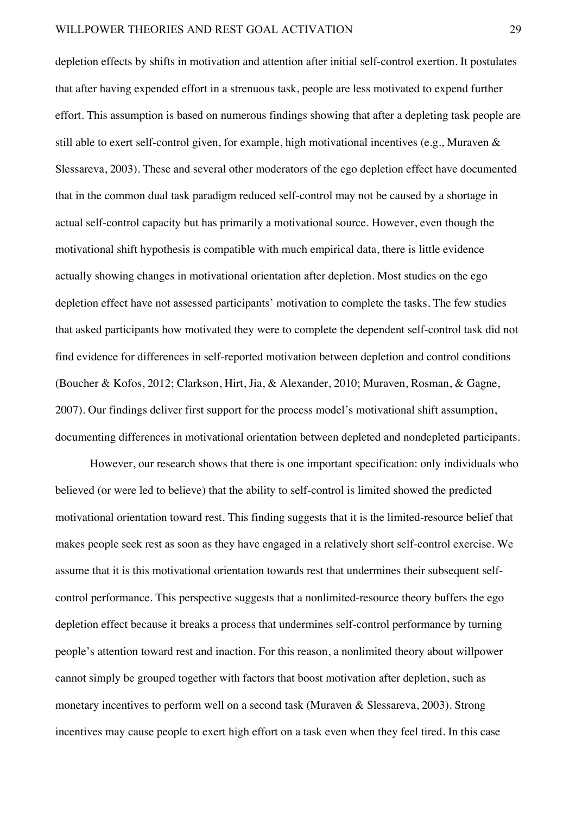depletion effects by shifts in motivation and attention after initial self-control exertion. It postulates that after having expended effort in a strenuous task, people are less motivated to expend further effort. This assumption is based on numerous findings showing that after a depleting task people are still able to exert self-control given, for example, high motivational incentives (e.g., Muraven & Slessareva, 2003). These and several other moderators of the ego depletion effect have documented that in the common dual task paradigm reduced self-control may not be caused by a shortage in actual self-control capacity but has primarily a motivational source. However, even though the motivational shift hypothesis is compatible with much empirical data, there is little evidence actually showing changes in motivational orientation after depletion. Most studies on the ego depletion effect have not assessed participants' motivation to complete the tasks. The few studies that asked participants how motivated they were to complete the dependent self-control task did not find evidence for differences in self-reported motivation between depletion and control conditions (Boucher & Kofos, 2012; Clarkson, Hirt, Jia, & Alexander, 2010; Muraven, Rosman, & Gagne, 2007). Our findings deliver first support for the process model's motivational shift assumption, documenting differences in motivational orientation between depleted and nondepleted participants.

However, our research shows that there is one important specification: only individuals who believed (or were led to believe) that the ability to self-control is limited showed the predicted motivational orientation toward rest. This finding suggests that it is the limited-resource belief that makes people seek rest as soon as they have engaged in a relatively short self-control exercise. We assume that it is this motivational orientation towards rest that undermines their subsequent selfcontrol performance. This perspective suggests that a nonlimited-resource theory buffers the ego depletion effect because it breaks a process that undermines self-control performance by turning people's attention toward rest and inaction. For this reason, a nonlimited theory about willpower cannot simply be grouped together with factors that boost motivation after depletion, such as monetary incentives to perform well on a second task (Muraven & Slessareva, 2003). Strong incentives may cause people to exert high effort on a task even when they feel tired. In this case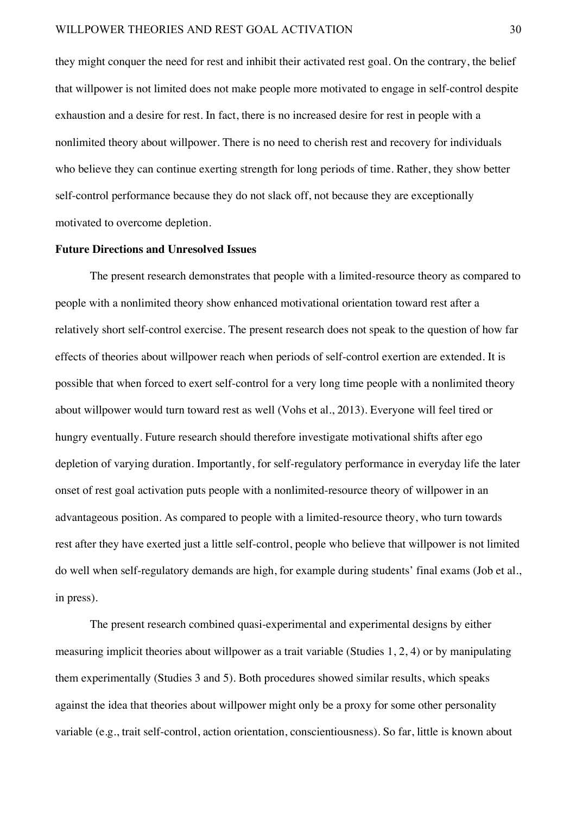they might conquer the need for rest and inhibit their activated rest goal. On the contrary, the belief that willpower is not limited does not make people more motivated to engage in self-control despite exhaustion and a desire for rest. In fact, there is no increased desire for rest in people with a nonlimited theory about willpower. There is no need to cherish rest and recovery for individuals who believe they can continue exerting strength for long periods of time. Rather, they show better self-control performance because they do not slack off, not because they are exceptionally motivated to overcome depletion.

# **Future Directions and Unresolved Issues**

The present research demonstrates that people with a limited-resource theory as compared to people with a nonlimited theory show enhanced motivational orientation toward rest after a relatively short self-control exercise. The present research does not speak to the question of how far effects of theories about willpower reach when periods of self-control exertion are extended. It is possible that when forced to exert self-control for a very long time people with a nonlimited theory about willpower would turn toward rest as well (Vohs et al., 2013). Everyone will feel tired or hungry eventually. Future research should therefore investigate motivational shifts after ego depletion of varying duration. Importantly, for self-regulatory performance in everyday life the later onset of rest goal activation puts people with a nonlimited-resource theory of willpower in an advantageous position. As compared to people with a limited-resource theory, who turn towards rest after they have exerted just a little self-control, people who believe that willpower is not limited do well when self-regulatory demands are high, for example during students' final exams (Job et al., in press).

The present research combined quasi-experimental and experimental designs by either measuring implicit theories about willpower as a trait variable (Studies 1, 2, 4) or by manipulating them experimentally (Studies 3 and 5). Both procedures showed similar results, which speaks against the idea that theories about willpower might only be a proxy for some other personality variable (e.g., trait self-control, action orientation, conscientiousness). So far, little is known about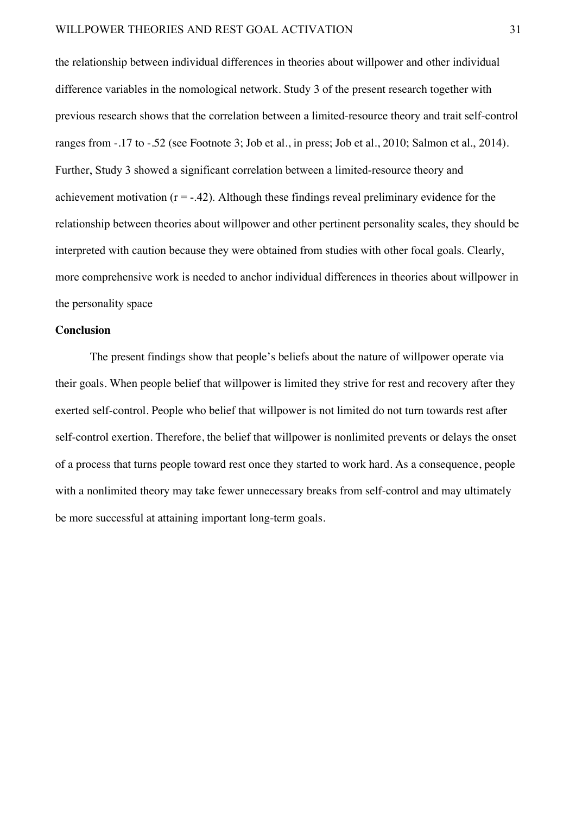the relationship between individual differences in theories about willpower and other individual difference variables in the nomological network. Study 3 of the present research together with previous research shows that the correlation between a limited-resource theory and trait self-control ranges from -.17 to -.52 (see Footnote 3; Job et al., in press; Job et al., 2010; Salmon et al., 2014). Further, Study 3 showed a significant correlation between a limited-resource theory and achievement motivation  $(r = -0.42)$ . Although these findings reveal preliminary evidence for the relationship between theories about willpower and other pertinent personality scales, they should be interpreted with caution because they were obtained from studies with other focal goals. Clearly, more comprehensive work is needed to anchor individual differences in theories about willpower in the personality space

#### **Conclusion**

The present findings show that people's beliefs about the nature of willpower operate via their goals. When people belief that willpower is limited they strive for rest and recovery after they exerted self-control. People who belief that willpower is not limited do not turn towards rest after self-control exertion. Therefore, the belief that willpower is nonlimited prevents or delays the onset of a process that turns people toward rest once they started to work hard. As a consequence, people with a nonlimited theory may take fewer unnecessary breaks from self-control and may ultimately be more successful at attaining important long-term goals.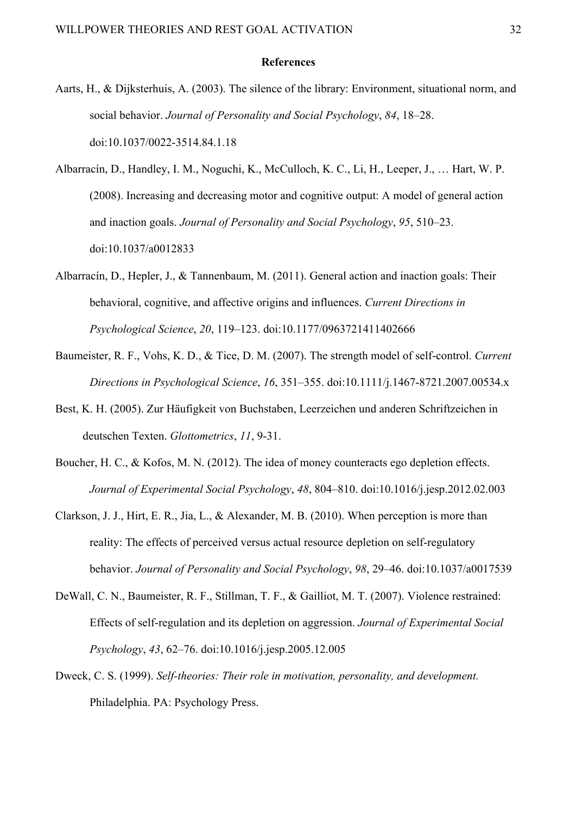#### **References**

- Aarts, H., & Dijksterhuis, A. (2003). The silence of the library: Environment, situational norm, and social behavior. *Journal of Personality and Social Psychology*, *84*, 18–28. doi:10.1037/0022-3514.84.1.18
- Albarracín, D., Handley, I. M., Noguchi, K., McCulloch, K. C., Li, H., Leeper, J., … Hart, W. P. (2008). Increasing and decreasing motor and cognitive output: A model of general action and inaction goals. *Journal of Personality and Social Psychology*, *95*, 510–23. doi:10.1037/a0012833
- Albarracín, D., Hepler, J., & Tannenbaum, M. (2011). General action and inaction goals: Their behavioral, cognitive, and affective origins and influences. *Current Directions in Psychological Science*, *20*, 119–123. doi:10.1177/0963721411402666
- Baumeister, R. F., Vohs, K. D., & Tice, D. M. (2007). The strength model of self-control. *Current Directions in Psychological Science*, *16*, 351–355. doi:10.1111/j.1467-8721.2007.00534.x
- Best, K. H. (2005). Zur Häufigkeit von Buchstaben, Leerzeichen und anderen Schriftzeichen in deutschen Texten. *Glottometrics*, *11*, 9-31.
- Boucher, H. C., & Kofos, M. N. (2012). The idea of money counteracts ego depletion effects. *Journal of Experimental Social Psychology*, *48*, 804–810. doi:10.1016/j.jesp.2012.02.003
- Clarkson, J. J., Hirt, E. R., Jia, L., & Alexander, M. B. (2010). When perception is more than reality: The effects of perceived versus actual resource depletion on self-regulatory behavior. *Journal of Personality and Social Psychology*, *98*, 29–46. doi:10.1037/a0017539
- DeWall, C. N., Baumeister, R. F., Stillman, T. F., & Gailliot, M. T. (2007). Violence restrained: Effects of self-regulation and its depletion on aggression. *Journal of Experimental Social Psychology*, *43*, 62–76. doi:10.1016/j.jesp.2005.12.005
- Dweck, C. S. (1999). *Self-theories: Their role in motivation, personality, and development.* Philadelphia. PA: Psychology Press.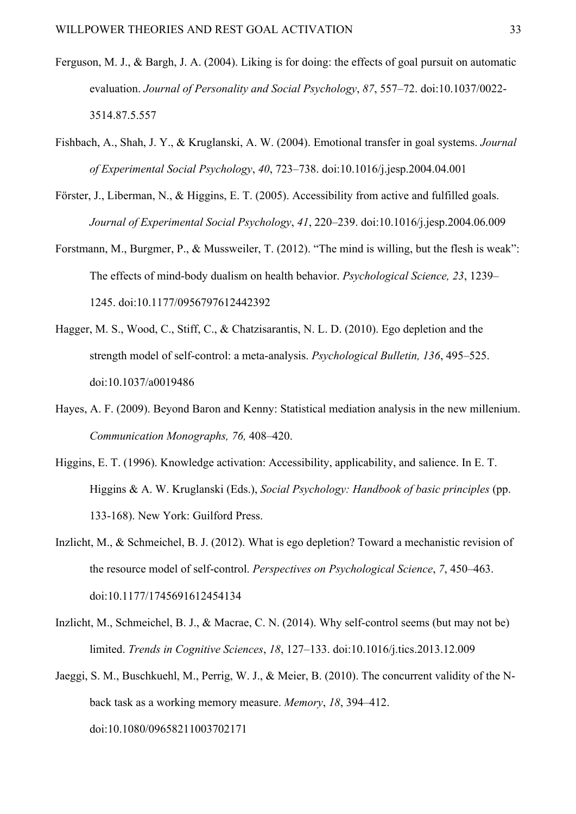- Ferguson, M. J., & Bargh, J. A. (2004). Liking is for doing: the effects of goal pursuit on automatic evaluation. *Journal of Personality and Social Psychology*, *87*, 557–72. doi:10.1037/0022- 3514.87.5.557
- Fishbach, A., Shah, J. Y., & Kruglanski, A. W. (2004). Emotional transfer in goal systems. *Journal of Experimental Social Psychology*, *40*, 723–738. doi:10.1016/j.jesp.2004.04.001
- Förster, J., Liberman, N., & Higgins, E. T. (2005). Accessibility from active and fulfilled goals. *Journal of Experimental Social Psychology*, *41*, 220–239. doi:10.1016/j.jesp.2004.06.009
- Forstmann, M., Burgmer, P., & Mussweiler, T. (2012). "The mind is willing, but the flesh is weak": The effects of mind-body dualism on health behavior. *Psychological Science, 23*, 1239– 1245. doi:10.1177/0956797612442392
- Hagger, M. S., Wood, C., Stiff, C., & Chatzisarantis, N. L. D. (2010). Ego depletion and the strength model of self-control: a meta-analysis. *Psychological Bulletin, 136*, 495–525. doi:10.1037/a0019486
- Hayes, A. F. (2009). Beyond Baron and Kenny: Statistical mediation analysis in the new millenium. *Communication Monographs, 76,* 408–420.
- Higgins, E. T. (1996). Knowledge activation: Accessibility, applicability, and salience. In E. T. Higgins & A. W. Kruglanski (Eds.), *Social Psychology: Handbook of basic principles* (pp. 133-168). New York: Guilford Press.
- Inzlicht, M., & Schmeichel, B. J. (2012). What is ego depletion? Toward a mechanistic revision of the resource model of self-control. *Perspectives on Psychological Science*, *7*, 450–463. doi:10.1177/1745691612454134
- Inzlicht, M., Schmeichel, B. J., & Macrae, C. N. (2014). Why self-control seems (but may not be) limited. *Trends in Cognitive Sciences*, *18*, 127–133. doi:10.1016/j.tics.2013.12.009
- Jaeggi, S. M., Buschkuehl, M., Perrig, W. J., & Meier, B. (2010). The concurrent validity of the Nback task as a working memory measure. *Memory*, *18*, 394–412. doi:10.1080/09658211003702171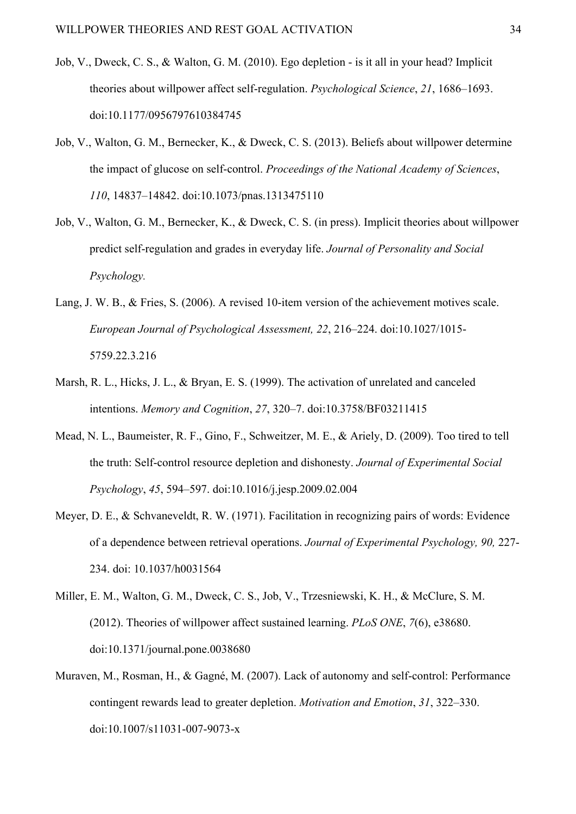- Job, V., Dweck, C. S., & Walton, G. M. (2010). Ego depletion is it all in your head? Implicit theories about willpower affect self-regulation. *Psychological Science*, *21*, 1686–1693. doi:10.1177/0956797610384745
- Job, V., Walton, G. M., Bernecker, K., & Dweck, C. S. (2013). Beliefs about willpower determine the impact of glucose on self-control. *Proceedings of the National Academy of Sciences*, *110*, 14837–14842. doi:10.1073/pnas.1313475110
- Job, V., Walton, G. M., Bernecker, K., & Dweck, C. S. (in press). Implicit theories about willpower predict self-regulation and grades in everyday life. *Journal of Personality and Social Psychology.*
- Lang, J. W. B., & Fries, S. (2006). A revised 10-item version of the achievement motives scale. *European Journal of Psychological Assessment, 22*, 216–224. doi:10.1027/1015- 5759.22.3.216
- Marsh, R. L., Hicks, J. L., & Bryan, E. S. (1999). The activation of unrelated and canceled intentions. *Memory and Cognition*, *27*, 320–7. doi:10.3758/BF03211415
- Mead, N. L., Baumeister, R. F., Gino, F., Schweitzer, M. E., & Ariely, D. (2009). Too tired to tell the truth: Self-control resource depletion and dishonesty. *Journal of Experimental Social Psychology*, *45*, 594–597. doi:10.1016/j.jesp.2009.02.004
- Meyer, D. E., & Schvaneveldt, R. W. (1971). Facilitation in recognizing pairs of words: Evidence of a dependence between retrieval operations. *Journal of Experimental Psychology, 90,* 227- 234. doi: 10.1037/h0031564
- Miller, E. M., Walton, G. M., Dweck, C. S., Job, V., Trzesniewski, K. H., & McClure, S. M. (2012). Theories of willpower affect sustained learning. *PLoS ONE*, *7*(6), e38680. doi:10.1371/journal.pone.0038680
- Muraven, M., Rosman, H., & Gagné, M. (2007). Lack of autonomy and self-control: Performance contingent rewards lead to greater depletion. *Motivation and Emotion*, *31*, 322–330. doi:10.1007/s11031-007-9073-x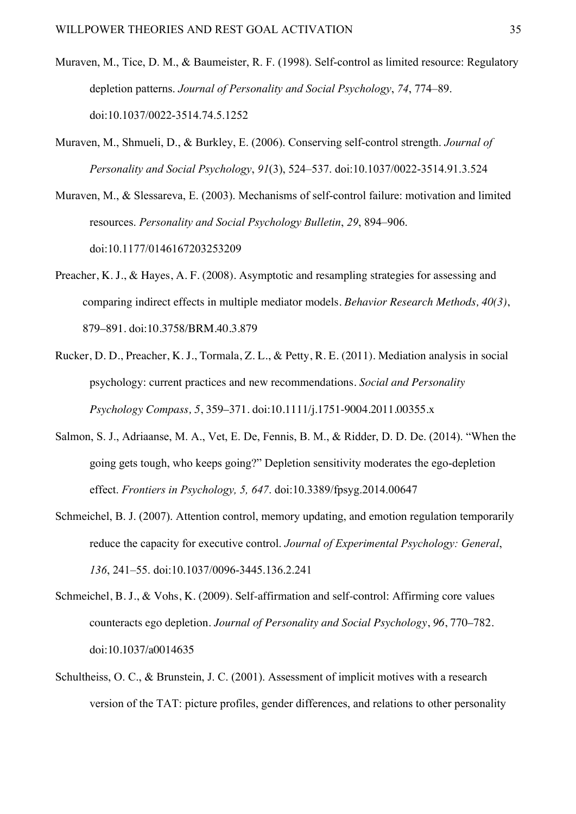- Muraven, M., Tice, D. M., & Baumeister, R. F. (1998). Self-control as limited resource: Regulatory depletion patterns. *Journal of Personality and Social Psychology*, *74*, 774–89. doi:10.1037/0022-3514.74.5.1252
- Muraven, M., Shmueli, D., & Burkley, E. (2006). Conserving self-control strength. *Journal of Personality and Social Psychology*, *91*(3), 524–537. doi:10.1037/0022-3514.91.3.524
- Muraven, M., & Slessareva, E. (2003). Mechanisms of self-control failure: motivation and limited resources. *Personality and Social Psychology Bulletin*, *29*, 894–906. doi:10.1177/0146167203253209
- Preacher, K. J., & Hayes, A. F. (2008). Asymptotic and resampling strategies for assessing and comparing indirect effects in multiple mediator models. *Behavior Research Methods, 40(3)*, 879–891. doi:10.3758/BRM.40.3.879
- Rucker, D. D., Preacher, K. J., Tormala, Z. L., & Petty, R. E. (2011). Mediation analysis in social psychology: current practices and new recommendations. *Social and Personality Psychology Compass, 5*, 359–371. doi:10.1111/j.1751-9004.2011.00355.x
- Salmon, S. J., Adriaanse, M. A., Vet, E. De, Fennis, B. M., & Ridder, D. D. De. (2014). "When the going gets tough, who keeps going?" Depletion sensitivity moderates the ego-depletion effect. *Frontiers in Psychology, 5, 647*. doi:10.3389/fpsyg.2014.00647
- Schmeichel, B. J. (2007). Attention control, memory updating, and emotion regulation temporarily reduce the capacity for executive control. *Journal of Experimental Psychology: General*, *136*, 241–55. doi:10.1037/0096-3445.136.2.241
- Schmeichel, B. J., & Vohs, K. (2009). Self-affirmation and self-control: Affirming core values counteracts ego depletion. *Journal of Personality and Social Psychology*, *96*, 770–782. doi:10.1037/a0014635
- Schultheiss, O. C., & Brunstein, J. C. (2001). Assessment of implicit motives with a research version of the TAT: picture profiles, gender differences, and relations to other personality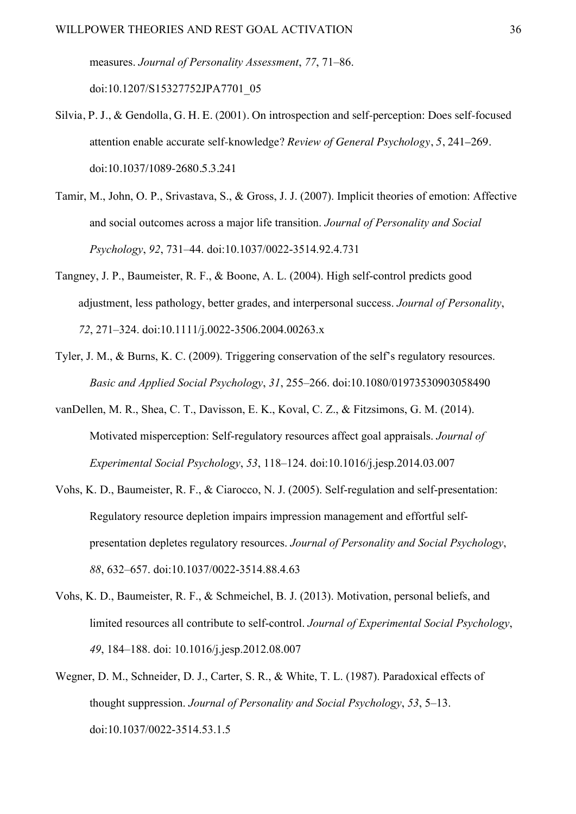measures. *Journal of Personality Assessment*, *77*, 71–86. doi:10.1207/S15327752JPA7701\_05

- Silvia, P. J., & Gendolla, G. H. E. (2001). On introspection and self-perception: Does self-focused attention enable accurate self-knowledge? *Review of General Psychology*, *5*, 241–269. doi:10.1037/1089-2680.5.3.241
- Tamir, M., John, O. P., Srivastava, S., & Gross, J. J. (2007). Implicit theories of emotion: Affective and social outcomes across a major life transition. *Journal of Personality and Social Psychology*, *92*, 731–44. doi:10.1037/0022-3514.92.4.731
- Tangney, J. P., Baumeister, R. F., & Boone, A. L. (2004). High self-control predicts good adjustment, less pathology, better grades, and interpersonal success. *Journal of Personality*, *72*, 271–324. doi:10.1111/j.0022-3506.2004.00263.x
- Tyler, J. M., & Burns, K. C. (2009). Triggering conservation of the self's regulatory resources. *Basic and Applied Social Psychology*, *31*, 255–266. doi:10.1080/01973530903058490
- vanDellen, M. R., Shea, C. T., Davisson, E. K., Koval, C. Z., & Fitzsimons, G. M. (2014). Motivated misperception: Self-regulatory resources affect goal appraisals. *Journal of Experimental Social Psychology*, *53*, 118–124. doi:10.1016/j.jesp.2014.03.007
- Vohs, K. D., Baumeister, R. F., & Ciarocco, N. J. (2005). Self-regulation and self-presentation: Regulatory resource depletion impairs impression management and effortful selfpresentation depletes regulatory resources. *Journal of Personality and Social Psychology*, *88*, 632–657. doi:10.1037/0022-3514.88.4.63
- Vohs, K. D., Baumeister, R. F., & Schmeichel, B. J. (2013). Motivation, personal beliefs, and limited resources all contribute to self-control. *Journal of Experimental Social Psychology*, *49*, 184–188. doi: 10.1016/j.jesp.2012.08.007
- Wegner, D. M., Schneider, D. J., Carter, S. R., & White, T. L. (1987). Paradoxical effects of thought suppression. *Journal of Personality and Social Psychology*, *53*, 5–13. doi:10.1037/0022-3514.53.1.5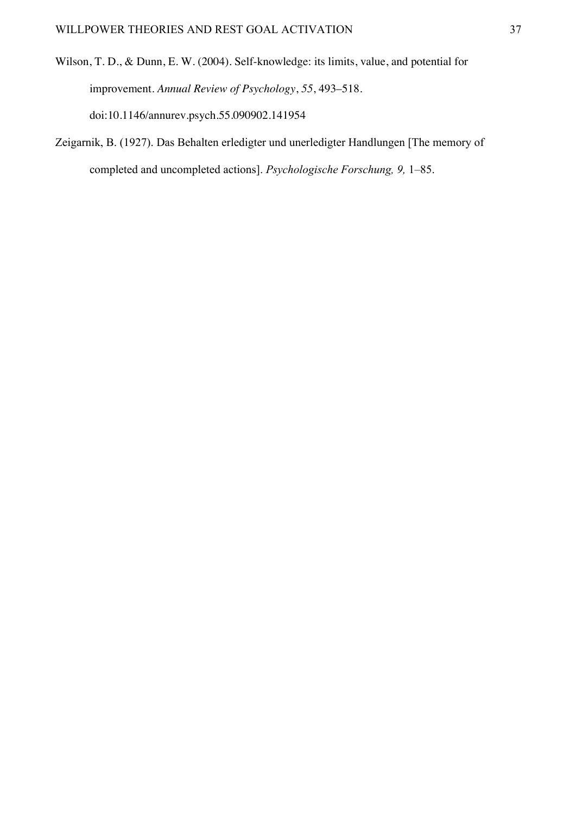- Wilson, T. D., & Dunn, E. W. (2004). Self-knowledge: its limits, value, and potential for improvement. *Annual Review of Psychology*, *55*, 493–518. doi:10.1146/annurev.psych.55.090902.141954
- Zeigarnik, B. (1927). Das Behalten erledigter und unerledigter Handlungen [The memory of completed and uncompleted actions]. *Psychologische Forschung, 9,* 1–85.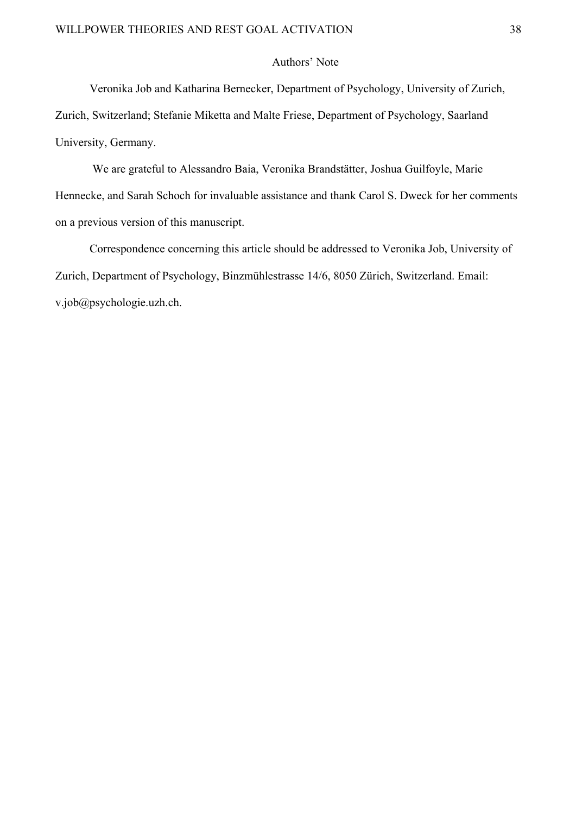# Authors' Note

Veronika Job and Katharina Bernecker, Department of Psychology, University of Zurich,

Zurich, Switzerland; Stefanie Miketta and Malte Friese, Department of Psychology, Saarland University, Germany.

We are grateful to Alessandro Baia, Veronika Brandstätter, Joshua Guilfoyle, Marie Hennecke, and Sarah Schoch for invaluable assistance and thank Carol S. Dweck for her comments on a previous version of this manuscript.

Correspondence concerning this article should be addressed to Veronika Job, University of Zurich, Department of Psychology, Binzmühlestrasse 14/6, 8050 Zürich, Switzerland. Email: v.job@psychologie.uzh.ch.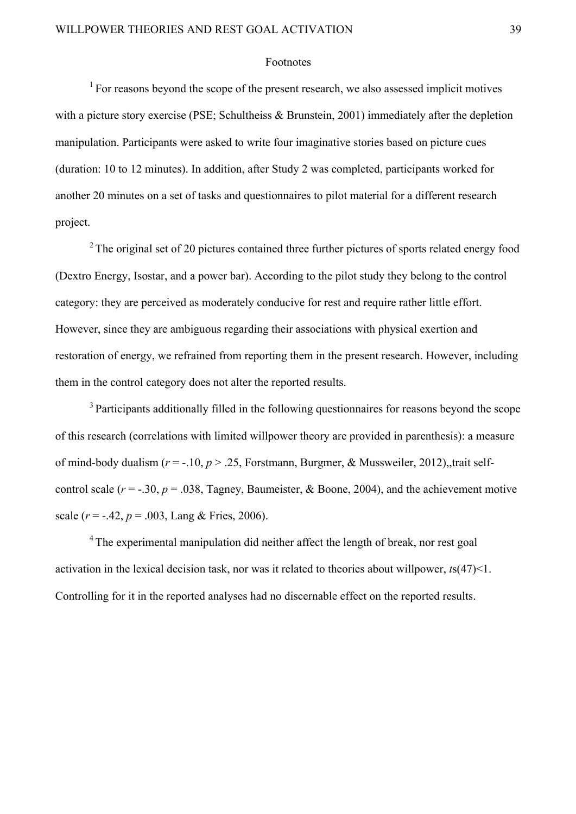#### Footnotes

 $1$  For reasons beyond the scope of the present research, we also assessed implicit motives with a picture story exercise (PSE; Schultheiss & Brunstein, 2001) immediately after the depletion manipulation. Participants were asked to write four imaginative stories based on picture cues (duration: 10 to 12 minutes). In addition, after Study 2 was completed, participants worked for another 20 minutes on a set of tasks and questionnaires to pilot material for a different research project.

<sup>2</sup> The original set of 20 pictures contained three further pictures of sports related energy food (Dextro Energy, Isostar, and a power bar). According to the pilot study they belong to the control category: they are perceived as moderately conducive for rest and require rather little effort. However, since they are ambiguous regarding their associations with physical exertion and restoration of energy, we refrained from reporting them in the present research. However, including them in the control category does not alter the reported results.

<sup>3</sup> Participants additionally filled in the following questionnaires for reasons beyond the scope of this research (correlations with limited willpower theory are provided in parenthesis): a measure of mind-body dualism (*r* = -.10, *p* > .25, Forstmann, Burgmer, & Mussweiler, 2012),,trait selfcontrol scale ( $r = -0.30$ ,  $p = 0.038$ , Tagney, Baumeister, & Boone, 2004), and the achievement motive scale  $(r = -.42, p = .003, \text{Lang} \& \text{Fries}, 2006)$ .

<sup>4</sup> The experimental manipulation did neither affect the length of break, nor rest goal activation in the lexical decision task, nor was it related to theories about willpower, *t*s(47)<1. Controlling for it in the reported analyses had no discernable effect on the reported results.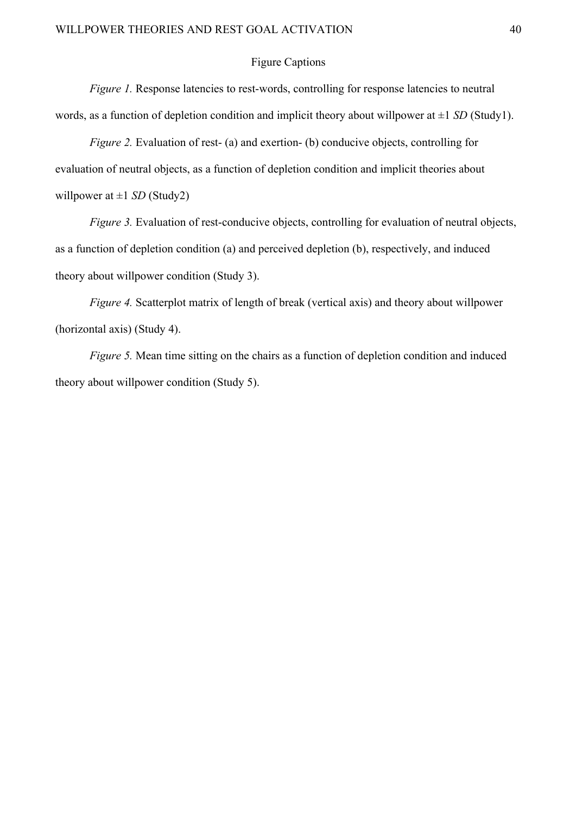# Figure Captions

*Figure 1.* Response latencies to rest-words, controlling for response latencies to neutral words, as a function of depletion condition and implicit theory about willpower at ±1 *SD* (Study1).

*Figure 2.* Evaluation of rest- (a) and exertion- (b) conducive objects, controlling for evaluation of neutral objects, as a function of depletion condition and implicit theories about willpower at  $\pm 1$  *SD* (Study2)

*Figure 3.* Evaluation of rest-conducive objects, controlling for evaluation of neutral objects, as a function of depletion condition (a) and perceived depletion (b), respectively, and induced theory about willpower condition (Study 3).

*Figure 4.* Scatterplot matrix of length of break (vertical axis) and theory about willpower (horizontal axis) (Study 4).

*Figure 5.* Mean time sitting on the chairs as a function of depletion condition and induced theory about willpower condition (Study 5).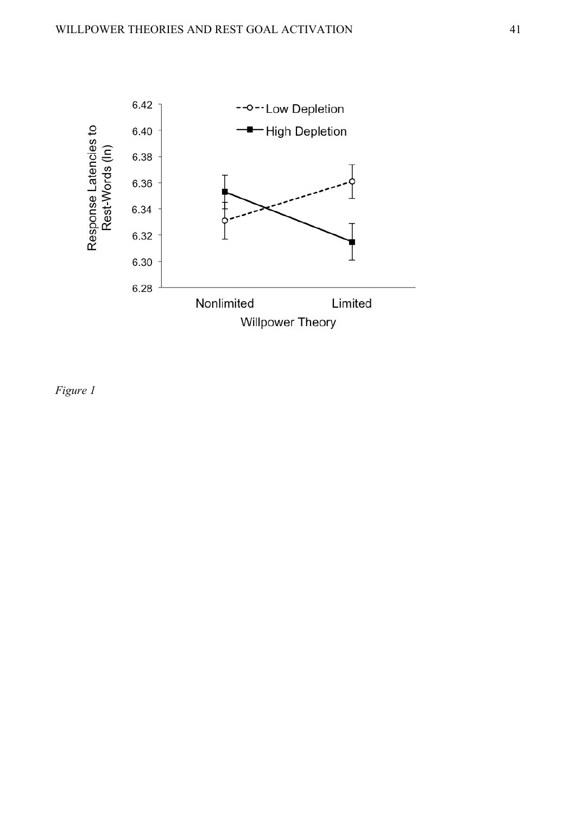

*Figure 1*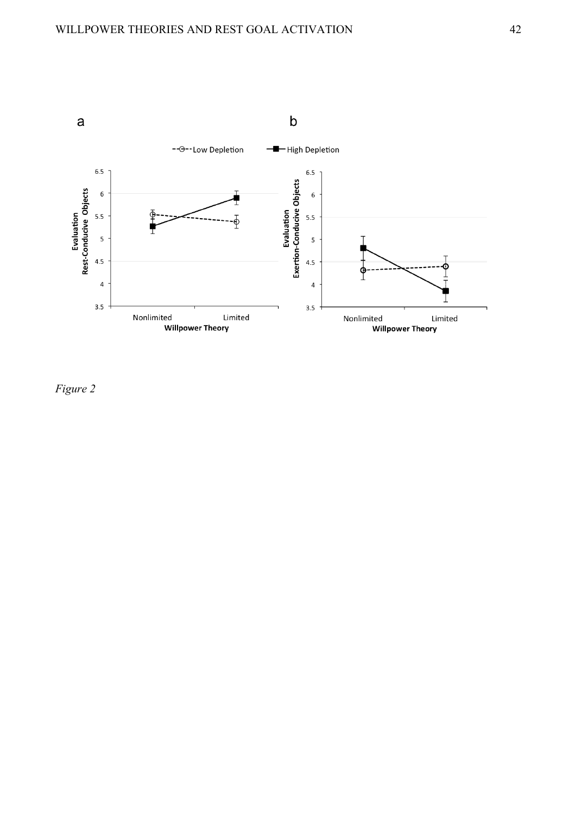

*Figure 2*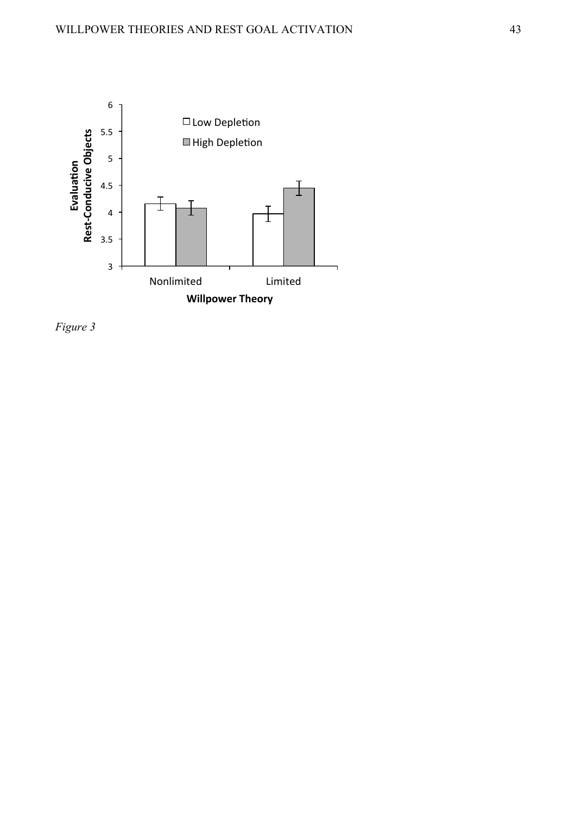

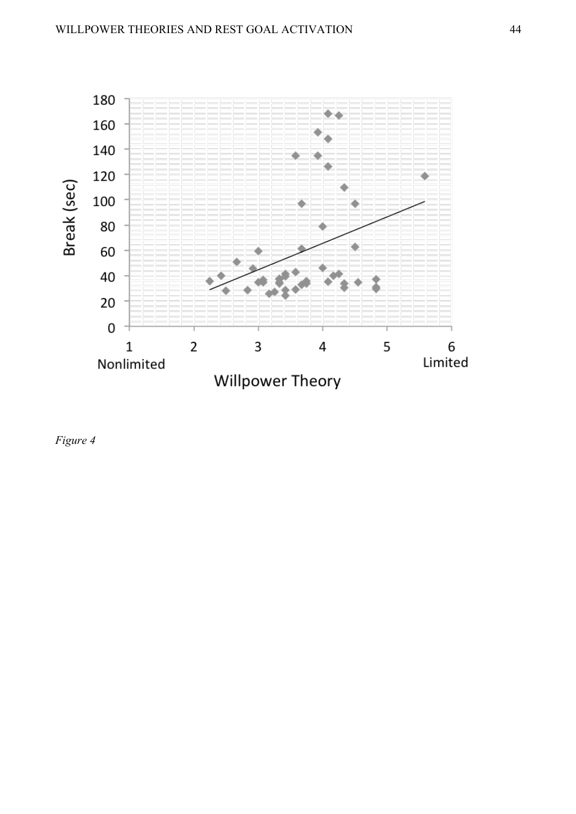

*Figure 4*